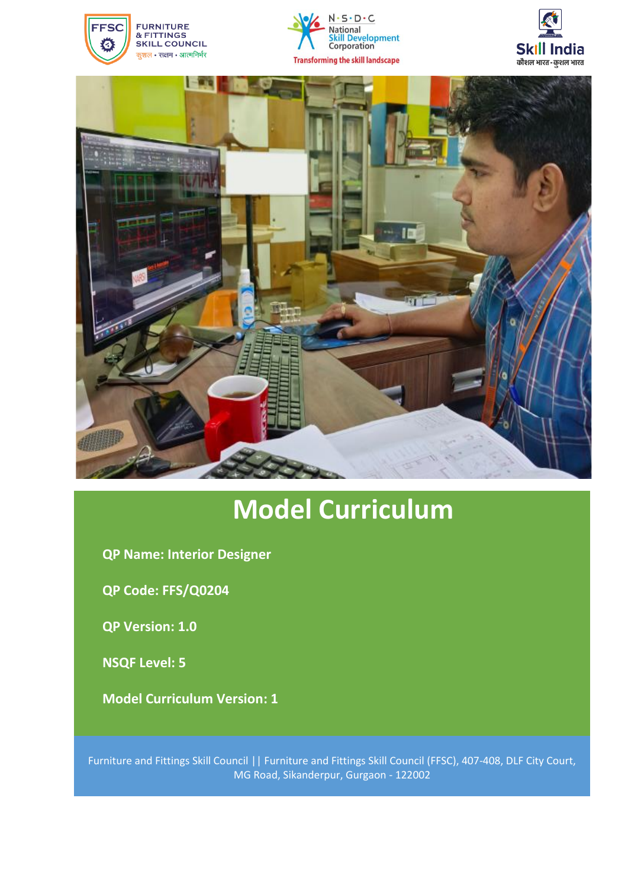







# **Model Curriculum**

**QP Name: Interior Designer**

**QP Code: FFS/Q0204**

**QP Version: 1.0** 

**NSQF Level: 5**

**Model Curriculum Version: 1**

Furniture and Fittings Skill Council || Furniture and Fittings Skill Council (FFSC), 407-408, DLF City Court, MG Road, Sikanderpur, Gurgaon - 122002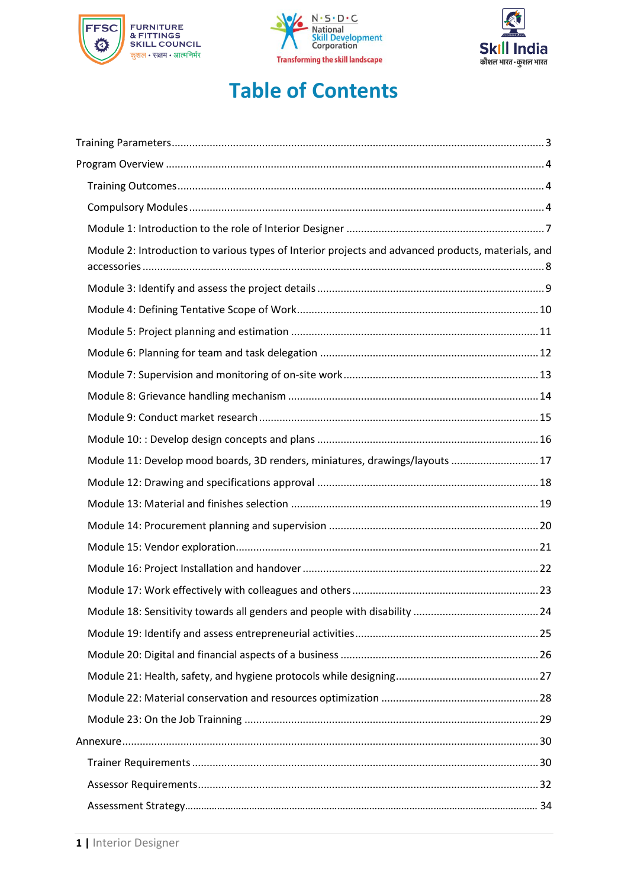





## **Table of Contents**

| Module 2: Introduction to various types of Interior projects and advanced products, materials, and |  |
|----------------------------------------------------------------------------------------------------|--|
|                                                                                                    |  |
|                                                                                                    |  |
|                                                                                                    |  |
|                                                                                                    |  |
|                                                                                                    |  |
|                                                                                                    |  |
|                                                                                                    |  |
|                                                                                                    |  |
| Module 11: Develop mood boards, 3D renders, miniatures, drawings/layouts  17                       |  |
|                                                                                                    |  |
|                                                                                                    |  |
|                                                                                                    |  |
|                                                                                                    |  |
|                                                                                                    |  |
|                                                                                                    |  |
|                                                                                                    |  |
|                                                                                                    |  |
|                                                                                                    |  |
|                                                                                                    |  |
|                                                                                                    |  |
|                                                                                                    |  |
|                                                                                                    |  |
|                                                                                                    |  |
|                                                                                                    |  |
|                                                                                                    |  |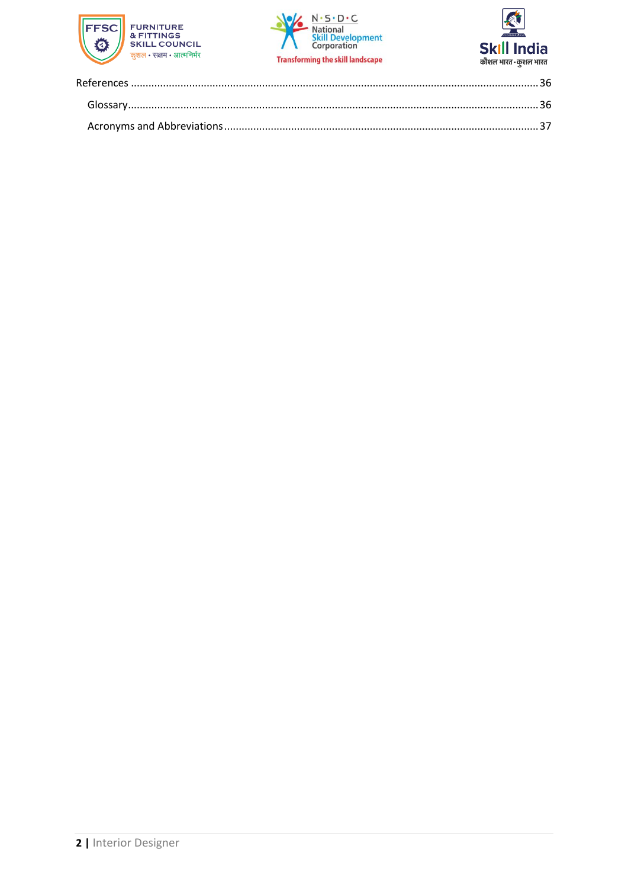



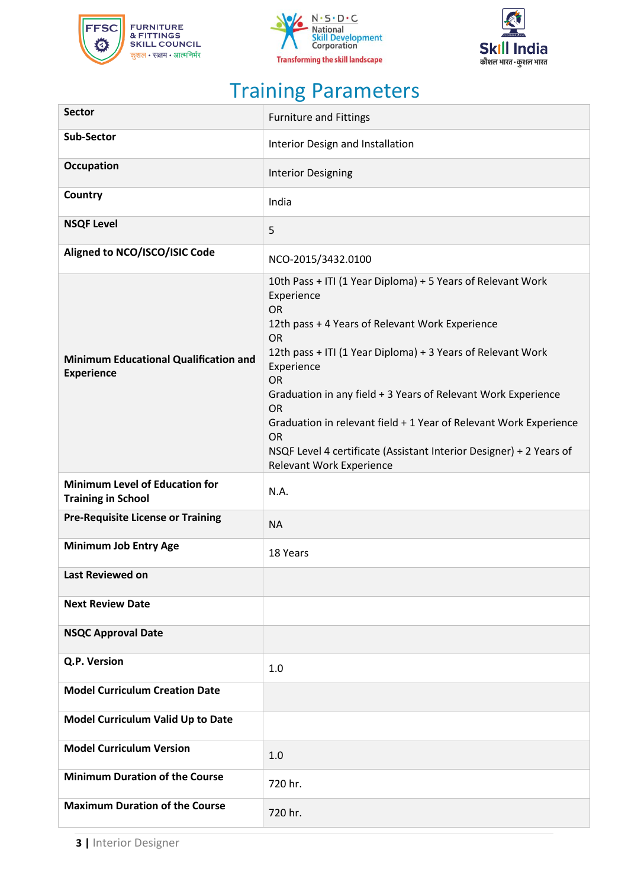





# Training Parameters

<span id="page-3-0"></span>

| <b>Sector</b>                                                      | <b>Furniture and Fittings</b>                                                                                                                                                                                                                                                                                                                                                                                                                                                                                       |
|--------------------------------------------------------------------|---------------------------------------------------------------------------------------------------------------------------------------------------------------------------------------------------------------------------------------------------------------------------------------------------------------------------------------------------------------------------------------------------------------------------------------------------------------------------------------------------------------------|
| <b>Sub-Sector</b>                                                  | Interior Design and Installation                                                                                                                                                                                                                                                                                                                                                                                                                                                                                    |
| <b>Occupation</b>                                                  | <b>Interior Designing</b>                                                                                                                                                                                                                                                                                                                                                                                                                                                                                           |
| Country                                                            | India                                                                                                                                                                                                                                                                                                                                                                                                                                                                                                               |
| <b>NSQF Level</b>                                                  | 5                                                                                                                                                                                                                                                                                                                                                                                                                                                                                                                   |
| Aligned to NCO/ISCO/ISIC Code                                      | NCO-2015/3432.0100                                                                                                                                                                                                                                                                                                                                                                                                                                                                                                  |
| <b>Minimum Educational Qualification and</b><br><b>Experience</b>  | 10th Pass + ITI (1 Year Diploma) + 5 Years of Relevant Work<br>Experience<br><b>OR</b><br>12th pass + 4 Years of Relevant Work Experience<br><b>OR</b><br>12th pass + ITI (1 Year Diploma) + 3 Years of Relevant Work<br>Experience<br>OR<br>Graduation in any field + 3 Years of Relevant Work Experience<br><b>OR</b><br>Graduation in relevant field + 1 Year of Relevant Work Experience<br><b>OR</b><br>NSQF Level 4 certificate (Assistant Interior Designer) + 2 Years of<br><b>Relevant Work Experience</b> |
| <b>Minimum Level of Education for</b><br><b>Training in School</b> | N.A.                                                                                                                                                                                                                                                                                                                                                                                                                                                                                                                |
| <b>Pre-Requisite License or Training</b>                           | <b>NA</b>                                                                                                                                                                                                                                                                                                                                                                                                                                                                                                           |
| <b>Minimum Job Entry Age</b>                                       | 18 Years                                                                                                                                                                                                                                                                                                                                                                                                                                                                                                            |
| Last Reviewed on                                                   |                                                                                                                                                                                                                                                                                                                                                                                                                                                                                                                     |
| <b>Next Review Date</b>                                            |                                                                                                                                                                                                                                                                                                                                                                                                                                                                                                                     |
| <b>NSQC Approval Date</b>                                          |                                                                                                                                                                                                                                                                                                                                                                                                                                                                                                                     |
| Q.P. Version                                                       | 1.0                                                                                                                                                                                                                                                                                                                                                                                                                                                                                                                 |
| <b>Model Curriculum Creation Date</b>                              |                                                                                                                                                                                                                                                                                                                                                                                                                                                                                                                     |
| Model Curriculum Valid Up to Date                                  |                                                                                                                                                                                                                                                                                                                                                                                                                                                                                                                     |
| <b>Model Curriculum Version</b>                                    | 1.0                                                                                                                                                                                                                                                                                                                                                                                                                                                                                                                 |
| <b>Minimum Duration of the Course</b>                              | 720 hr.                                                                                                                                                                                                                                                                                                                                                                                                                                                                                                             |
| <b>Maximum Duration of the Course</b>                              | 720 hr.                                                                                                                                                                                                                                                                                                                                                                                                                                                                                                             |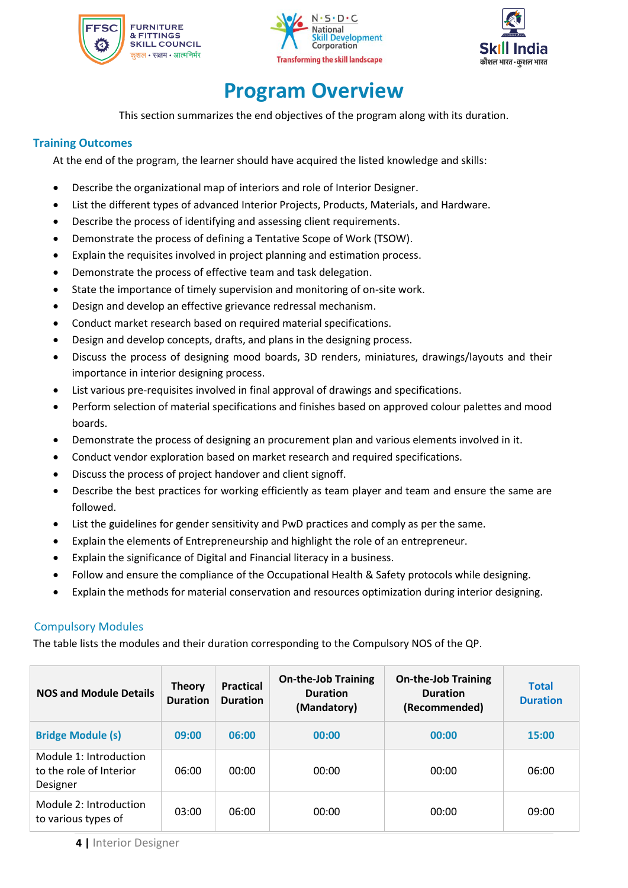





## **Program Overview**

<span id="page-4-0"></span>This section summarizes the end objectives of the program along with its duration.

### <span id="page-4-1"></span>**Training Outcomes**

At the end of the program, the learner should have acquired the listed knowledge and skills:

- Describe the organizational map of interiors and role of Interior Designer.
- List the different types of advanced Interior Projects, Products, Materials, and Hardware.
- Describe the process of identifying and assessing client requirements.
- Demonstrate the process of defining a Tentative Scope of Work (TSOW).
- Explain the requisites involved in project planning and estimation process.
- Demonstrate the process of effective team and task delegation.
- State the importance of timely supervision and monitoring of on-site work.
- Design and develop an effective grievance redressal mechanism.
- Conduct market research based on required material specifications.
- Design and develop concepts, drafts, and plans in the designing process.
- Discuss the process of designing mood boards, 3D renders, miniatures, drawings/layouts and their importance in interior designing process.
- List various pre-requisites involved in final approval of drawings and specifications.
- Perform selection of material specifications and finishes based on approved colour palettes and mood boards.
- Demonstrate the process of designing an procurement plan and various elements involved in it.
- Conduct vendor exploration based on market research and required specifications.
- Discuss the process of project handover and client signoff.
- Describe the best practices for working efficiently as team player and team and ensure the same are followed.
- List the guidelines for gender sensitivity and PwD practices and comply as per the same.
- Explain the elements of Entrepreneurship and highlight the role of an entrepreneur.
- Explain the significance of Digital and Financial literacy in a business.
- Follow and ensure the compliance of the Occupational Health & Safety protocols while designing.
- <span id="page-4-2"></span>• Explain the methods for material conservation and resources optimization during interior designing.

### Compulsory Modules

The table lists the modules and their duration corresponding to the Compulsory NOS of the QP.

| <b>NOS and Module Details</b>                                 | <b>Theory</b><br><b>Duration</b> | <b>Practical</b><br><b>Duration</b> | <b>On-the-Job Training</b><br><b>Duration</b><br>(Mandatory) | <b>On-the-Job Training</b><br><b>Duration</b><br>(Recommended) | <b>Total</b><br><b>Duration</b> |
|---------------------------------------------------------------|----------------------------------|-------------------------------------|--------------------------------------------------------------|----------------------------------------------------------------|---------------------------------|
| <b>Bridge Module (s)</b>                                      | 09:00                            | 06:00                               | 00:00                                                        | 00:00                                                          | 15:00                           |
| Module 1: Introduction<br>to the role of Interior<br>Designer | 06:00                            | 00:00                               | 00:00                                                        | 00:00                                                          | 06:00                           |
| Module 2: Introduction<br>to various types of                 | 03:00                            | 06:00                               | 00:00                                                        | 00:00                                                          | 09:00                           |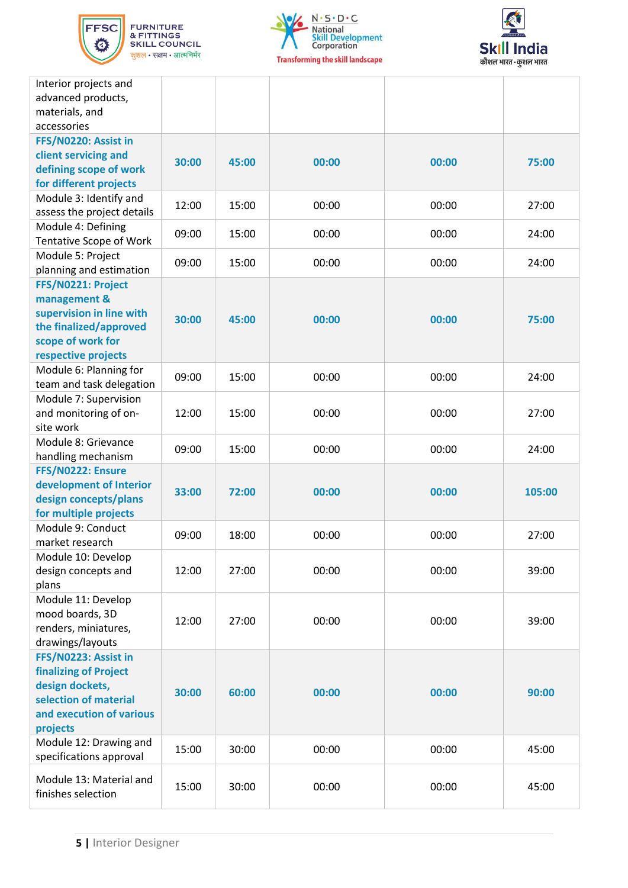





| Interior projects and<br>advanced products, |       |       |       |       |        |
|---------------------------------------------|-------|-------|-------|-------|--------|
| materials, and                              |       |       |       |       |        |
| accessories                                 |       |       |       |       |        |
| FFS/N0220: Assist in                        |       |       |       |       |        |
| client servicing and                        | 30:00 | 45:00 | 00:00 | 00:00 | 75:00  |
| defining scope of work                      |       |       |       |       |        |
| for different projects                      |       |       |       |       |        |
| Module 3: Identify and                      | 12:00 | 15:00 | 00:00 | 00:00 | 27:00  |
| assess the project details                  |       |       |       |       |        |
| Module 4: Defining                          | 09:00 | 15:00 | 00:00 | 00:00 | 24:00  |
| <b>Tentative Scope of Work</b>              |       |       |       |       |        |
| Module 5: Project                           | 09:00 | 15:00 | 00:00 | 00:00 | 24:00  |
| planning and estimation                     |       |       |       |       |        |
| FFS/N0221: Project                          |       |       |       |       |        |
| management &                                |       |       |       |       |        |
| supervision in line with                    | 30:00 | 45:00 | 00:00 | 00:00 | 75:00  |
| the finalized/approved                      |       |       |       |       |        |
| scope of work for                           |       |       |       |       |        |
| respective projects                         |       |       |       |       |        |
| Module 6: Planning for                      | 09:00 | 15:00 | 00:00 | 00:00 | 24:00  |
| team and task delegation                    |       |       |       |       |        |
| Module 7: Supervision                       |       |       |       |       |        |
| and monitoring of on-                       | 12:00 | 15:00 | 00:00 | 00:00 | 27:00  |
| site work                                   |       |       |       |       |        |
| Module 8: Grievance                         | 09:00 | 15:00 | 00:00 | 00:00 | 24:00  |
| handling mechanism<br>FFS/N0222: Ensure     |       |       |       |       |        |
| development of Interior                     |       |       |       |       |        |
| design concepts/plans                       | 33:00 | 72:00 | 00:00 | 00:00 | 105:00 |
| for multiple projects                       |       |       |       |       |        |
| Module 9: Conduct                           |       |       |       |       |        |
| market research                             | 09:00 | 18:00 | 00:00 | 00:00 | 27:00  |
| Module 10: Develop                          |       |       |       |       |        |
| design concepts and                         | 12:00 | 27:00 | 00:00 | 00:00 | 39:00  |
| plans                                       |       |       |       |       |        |
| Module 11: Develop                          |       |       |       |       |        |
| mood boards, 3D                             |       |       |       |       |        |
| renders, miniatures,                        | 12:00 | 27:00 | 00:00 | 00:00 | 39:00  |
| drawings/layouts                            |       |       |       |       |        |
| FFS/N0223: Assist in                        |       |       |       |       |        |
| <b>finalizing of Project</b>                |       |       |       |       |        |
| design dockets,                             |       |       |       |       |        |
| selection of material                       | 30:00 | 60:00 | 00:00 | 00:00 | 90:00  |
| and execution of various                    |       |       |       |       |        |
| projects                                    |       |       |       |       |        |
| Module 12: Drawing and                      | 15:00 | 30:00 | 00:00 | 00:00 | 45:00  |
| specifications approval                     |       |       |       |       |        |
| Module 13: Material and                     |       |       |       |       |        |
| finishes selection                          | 15:00 | 30:00 | 00:00 | 00:00 | 45:00  |
|                                             |       |       |       |       |        |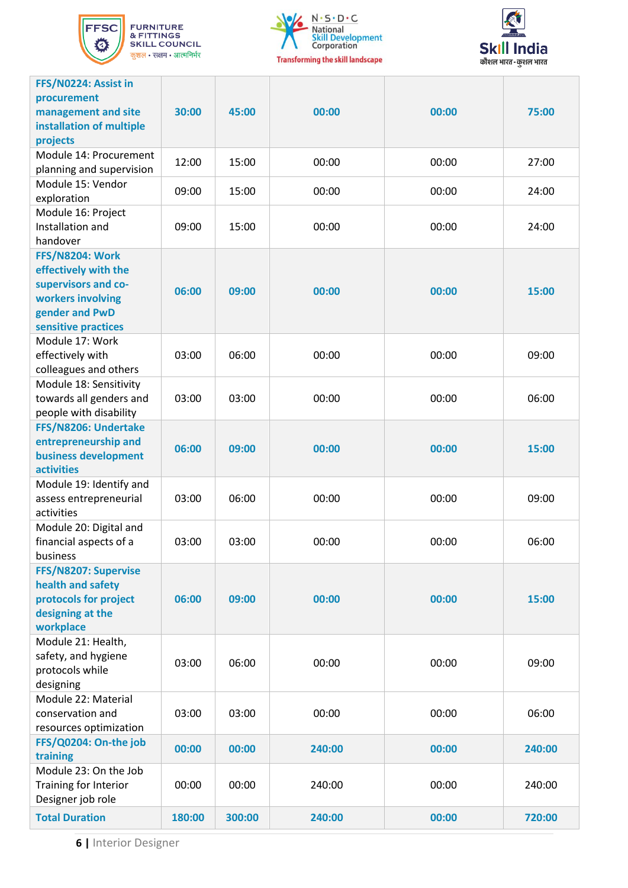

**FURNITURE<br>& FITTINGS<br>SKILL COUNCIL** कुशल $\,\boldsymbol{\cdot}\,$ सक्षम $\,\boldsymbol{\cdot}\,$ आत्मनिर्भर





| FFS/N0224: Assist in<br>procurement<br>management and site<br>installation of multiple<br>projects                                  | 30:00  | 45:00  | 00:00  | 00:00 | 75:00  |
|-------------------------------------------------------------------------------------------------------------------------------------|--------|--------|--------|-------|--------|
| Module 14: Procurement<br>planning and supervision                                                                                  | 12:00  | 15:00  | 00:00  | 00:00 | 27:00  |
| Module 15: Vendor<br>exploration                                                                                                    | 09:00  | 15:00  | 00:00  | 00:00 | 24:00  |
| Module 16: Project<br>Installation and<br>handover                                                                                  | 09:00  | 15:00  | 00:00  | 00:00 | 24:00  |
| <b>FFS/N8204: Work</b><br>effectively with the<br>supervisors and co-<br>workers involving<br>gender and PwD<br>sensitive practices | 06:00  | 09:00  | 00:00  | 00:00 | 15:00  |
| Module 17: Work<br>effectively with<br>colleagues and others                                                                        | 03:00  | 06:00  | 00:00  | 00:00 | 09:00  |
| Module 18: Sensitivity<br>towards all genders and<br>people with disability                                                         | 03:00  | 03:00  | 00:00  | 00:00 | 06:00  |
| FFS/N8206: Undertake<br>entrepreneurship and<br>business development<br><b>activities</b>                                           | 06:00  | 09:00  | 00:00  | 00:00 | 15:00  |
| Module 19: Identify and<br>assess entrepreneurial<br>activities                                                                     | 03:00  | 06:00  | 00:00  | 00:00 | 09:00  |
| Module 20: Digital and<br>financial aspects of a<br>business                                                                        | 03:00  | 03:00  | 00:00  | 00:00 | 06:00  |
| FFS/N8207: Supervise<br>health and safety<br>protocols for project<br>designing at the<br>workplace                                 | 06:00  | 09:00  | 00:00  | 00:00 | 15:00  |
| Module 21: Health,<br>safety, and hygiene<br>protocols while<br>designing                                                           | 03:00  | 06:00  | 00:00  | 00:00 | 09:00  |
| Module 22: Material<br>conservation and<br>resources optimization                                                                   | 03:00  | 03:00  | 00:00  | 00:00 | 06:00  |
| FFS/Q0204: On-the job<br>training                                                                                                   | 00:00  | 00:00  | 240:00 | 00:00 | 240:00 |
| Module 23: On the Job<br>Training for Interior<br>Designer job role                                                                 | 00:00  | 00:00  | 240:00 | 00:00 | 240:00 |
| <b>Total Duration</b>                                                                                                               | 180:00 | 300:00 | 240:00 | 00:00 | 720:00 |

**6 |** Interior Designer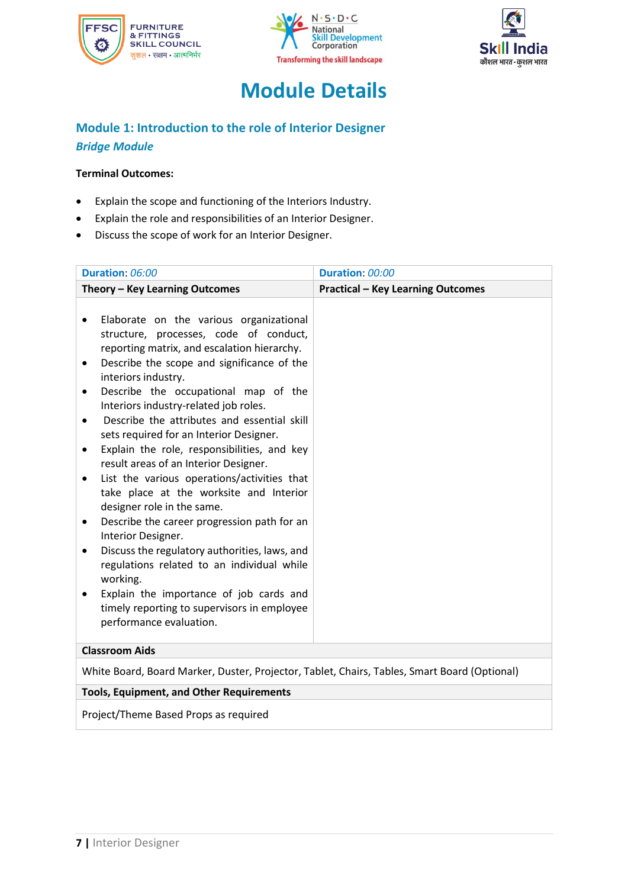





## **Module Details**

### <span id="page-7-0"></span>**Module 1: Introduction to the role of Interior Designer** *Bridge Module*

### **Terminal Outcomes:**

- Explain the scope and functioning of the Interiors Industry.
- Explain the role and responsibilities of an Interior Designer.
- Discuss the scope of work for an Interior Designer.

| Duration: 06:00                                                                                                                                                                                                                                                                                                                                                                                                                                                                                                                                                                                                                                                                                                                                                                                                                                                                                                                                                               | Duration: 00:00                          |  |
|-------------------------------------------------------------------------------------------------------------------------------------------------------------------------------------------------------------------------------------------------------------------------------------------------------------------------------------------------------------------------------------------------------------------------------------------------------------------------------------------------------------------------------------------------------------------------------------------------------------------------------------------------------------------------------------------------------------------------------------------------------------------------------------------------------------------------------------------------------------------------------------------------------------------------------------------------------------------------------|------------------------------------------|--|
| Theory - Key Learning Outcomes                                                                                                                                                                                                                                                                                                                                                                                                                                                                                                                                                                                                                                                                                                                                                                                                                                                                                                                                                | <b>Practical - Key Learning Outcomes</b> |  |
| Elaborate on the various organizational<br>٠<br>structure, processes, code of conduct,<br>reporting matrix, and escalation hierarchy.<br>Describe the scope and significance of the<br>$\bullet$<br>interiors industry.<br>Describe the occupational map of the<br>$\bullet$<br>Interiors industry-related job roles.<br>Describe the attributes and essential skill<br>$\bullet$<br>sets required for an Interior Designer.<br>Explain the role, responsibilities, and key<br>$\bullet$<br>result areas of an Interior Designer.<br>List the various operations/activities that<br>٠<br>take place at the worksite and Interior<br>designer role in the same.<br>Describe the career progression path for an<br>٠<br>Interior Designer.<br>Discuss the regulatory authorities, laws, and<br>٠<br>regulations related to an individual while<br>working.<br>Explain the importance of job cards and<br>timely reporting to supervisors in employee<br>performance evaluation. |                                          |  |
| <b>Classroom Aids</b>                                                                                                                                                                                                                                                                                                                                                                                                                                                                                                                                                                                                                                                                                                                                                                                                                                                                                                                                                         |                                          |  |
| White Board, Board Marker, Duster, Projector, Tablet, Chairs, Tables, Smart Board (Optional)                                                                                                                                                                                                                                                                                                                                                                                                                                                                                                                                                                                                                                                                                                                                                                                                                                                                                  |                                          |  |
| <b>Tools, Equipment, and Other Requirements</b>                                                                                                                                                                                                                                                                                                                                                                                                                                                                                                                                                                                                                                                                                                                                                                                                                                                                                                                               |                                          |  |
| Project/Theme Based Props as required                                                                                                                                                                                                                                                                                                                                                                                                                                                                                                                                                                                                                                                                                                                                                                                                                                                                                                                                         |                                          |  |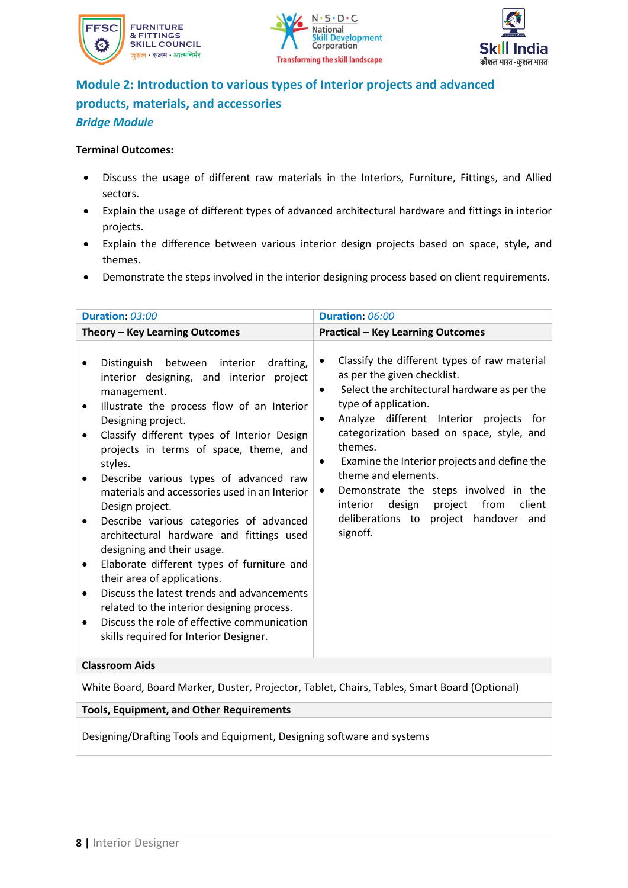





### **Module 2: Introduction to various types of Interior projects and advanced products, materials, and accessories** *Bridge Module*

#### **Terminal Outcomes:**

- Discuss the usage of different raw materials in the Interiors, Furniture, Fittings, and Allied sectors.
- Explain the usage of different types of advanced architectural hardware and fittings in interior projects.
- Explain the difference between various interior design projects based on space, style, and themes.
- Demonstrate the steps involved in the interior designing process based on client requirements.

| Duration: 03:00                                                                                                                                                                                                                                                                                                                                                                                                                                                                                                                                                                                                                                                                                                                                                                                                                                                      | Duration: 06:00                                                                                                                                                                                                                                                                                                                                                                                                                                                                                                                      |  |  |
|----------------------------------------------------------------------------------------------------------------------------------------------------------------------------------------------------------------------------------------------------------------------------------------------------------------------------------------------------------------------------------------------------------------------------------------------------------------------------------------------------------------------------------------------------------------------------------------------------------------------------------------------------------------------------------------------------------------------------------------------------------------------------------------------------------------------------------------------------------------------|--------------------------------------------------------------------------------------------------------------------------------------------------------------------------------------------------------------------------------------------------------------------------------------------------------------------------------------------------------------------------------------------------------------------------------------------------------------------------------------------------------------------------------------|--|--|
| Theory - Key Learning Outcomes                                                                                                                                                                                                                                                                                                                                                                                                                                                                                                                                                                                                                                                                                                                                                                                                                                       | <b>Practical - Key Learning Outcomes</b>                                                                                                                                                                                                                                                                                                                                                                                                                                                                                             |  |  |
| Distinguish between<br>interior<br>drafting,<br>$\bullet$<br>interior designing, and interior project<br>management.<br>Illustrate the process flow of an Interior<br>$\bullet$<br>Designing project.<br>Classify different types of Interior Design<br>$\bullet$<br>projects in terms of space, theme, and<br>styles.<br>Describe various types of advanced raw<br>٠<br>materials and accessories used in an Interior<br>Design project.<br>Describe various categories of advanced<br>٠<br>architectural hardware and fittings used<br>designing and their usage.<br>Elaborate different types of furniture and<br>٠<br>their area of applications.<br>Discuss the latest trends and advancements<br>$\bullet$<br>related to the interior designing process.<br>Discuss the role of effective communication<br>$\bullet$<br>skills required for Interior Designer. | Classify the different types of raw material<br>$\bullet$<br>as per the given checklist.<br>Select the architectural hardware as per the<br>$\bullet$<br>type of application.<br>Analyze different Interior projects for<br>$\bullet$<br>categorization based on space, style, and<br>themes.<br>Examine the Interior projects and define the<br>$\bullet$<br>theme and elements.<br>Demonstrate the steps involved in the<br>٠<br>from<br>design project<br>client<br>interior<br>deliberations to project handover and<br>signoff. |  |  |
| <b>Classroom Aids</b>                                                                                                                                                                                                                                                                                                                                                                                                                                                                                                                                                                                                                                                                                                                                                                                                                                                |                                                                                                                                                                                                                                                                                                                                                                                                                                                                                                                                      |  |  |
| White Board, Board Marker, Duster, Projector, Tablet, Chairs, Tables, Smart Board (Optional)                                                                                                                                                                                                                                                                                                                                                                                                                                                                                                                                                                                                                                                                                                                                                                         |                                                                                                                                                                                                                                                                                                                                                                                                                                                                                                                                      |  |  |
| <b>Tools, Equipment, and Other Requirements</b>                                                                                                                                                                                                                                                                                                                                                                                                                                                                                                                                                                                                                                                                                                                                                                                                                      |                                                                                                                                                                                                                                                                                                                                                                                                                                                                                                                                      |  |  |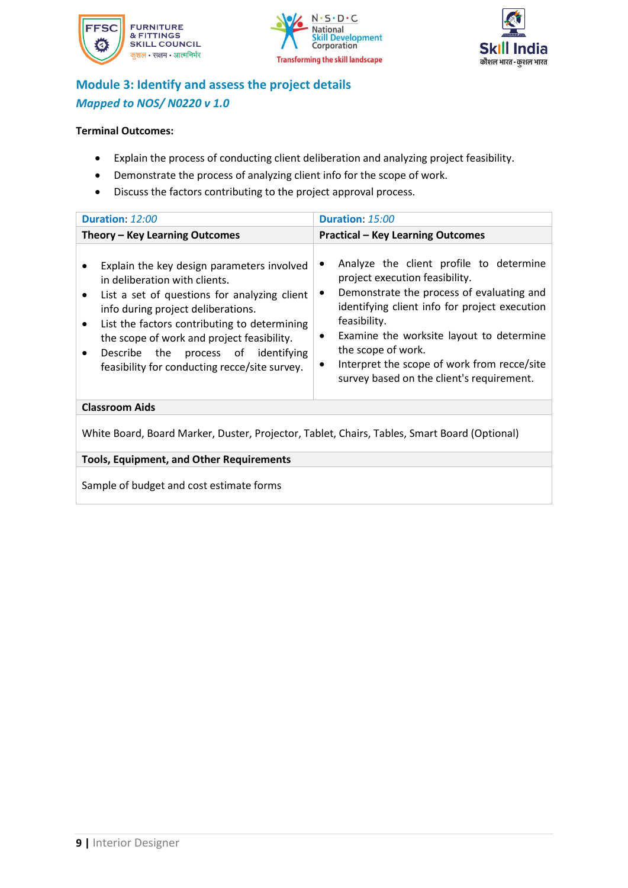





### **Module 3: Identify and assess the project details** *Mapped to NOS/ N0220 v 1.0*

#### **Terminal Outcomes:**

- Explain the process of conducting client deliberation and analyzing project feasibility.
- Demonstrate the process of analyzing client info for the scope of work.
- Discuss the factors contributing to the project approval process.

| Duration: 12:00                                                                                                                                                                                                                                                                                                                                                                                | Duration: 15:00                                                                                                                                                                                                                                                                                                                                                           |  |  |
|------------------------------------------------------------------------------------------------------------------------------------------------------------------------------------------------------------------------------------------------------------------------------------------------------------------------------------------------------------------------------------------------|---------------------------------------------------------------------------------------------------------------------------------------------------------------------------------------------------------------------------------------------------------------------------------------------------------------------------------------------------------------------------|--|--|
| Theory – Key Learning Outcomes                                                                                                                                                                                                                                                                                                                                                                 | <b>Practical - Key Learning Outcomes</b>                                                                                                                                                                                                                                                                                                                                  |  |  |
| Explain the key design parameters involved<br>in deliberation with clients.<br>List a set of questions for analyzing client<br>$\bullet$<br>info during project deliberations.<br>List the factors contributing to determining<br>$\bullet$<br>the scope of work and project feasibility.<br>Describe the process of identifying<br>$\bullet$<br>feasibility for conducting recce/site survey. | Analyze the client profile to determine<br>٠<br>project execution feasibility.<br>Demonstrate the process of evaluating and<br>٠<br>identifying client info for project execution<br>feasibility.<br>Examine the worksite layout to determine<br>٠<br>the scope of work.<br>Interpret the scope of work from recce/site<br>٠<br>survey based on the client's requirement. |  |  |
| <b>Classroom Aids</b>                                                                                                                                                                                                                                                                                                                                                                          |                                                                                                                                                                                                                                                                                                                                                                           |  |  |
| White Board, Board Marker, Duster, Projector, Tablet, Chairs, Tables, Smart Board (Optional)                                                                                                                                                                                                                                                                                                   |                                                                                                                                                                                                                                                                                                                                                                           |  |  |
| <b>Tools, Equipment, and Other Requirements</b>                                                                                                                                                                                                                                                                                                                                                |                                                                                                                                                                                                                                                                                                                                                                           |  |  |
|                                                                                                                                                                                                                                                                                                                                                                                                |                                                                                                                                                                                                                                                                                                                                                                           |  |  |

Sample of budget and cost estimate forms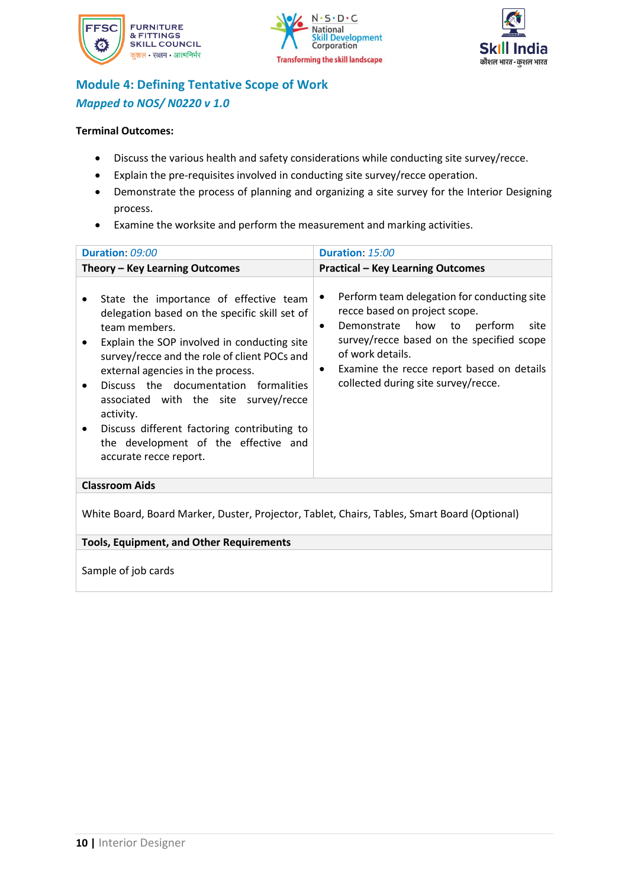





### **Module 4: Defining Tentative Scope of Work** *Mapped to NOS/ N0220 v 1.0*

#### **Terminal Outcomes:**

- Discuss the various health and safety considerations while conducting site survey/recce.
- Explain the pre-requisites involved in conducting site survey/recce operation.
- Demonstrate the process of planning and organizing a site survey for the Interior Designing process.
- Examine the worksite and perform the measurement and marking activities.

| Duration: 09:00                                                                                                                                                                                                                                                                                                                                                                                                                                                        | Duration: 15:00                                                                                                                                                                                                                                                                                |  |  |
|------------------------------------------------------------------------------------------------------------------------------------------------------------------------------------------------------------------------------------------------------------------------------------------------------------------------------------------------------------------------------------------------------------------------------------------------------------------------|------------------------------------------------------------------------------------------------------------------------------------------------------------------------------------------------------------------------------------------------------------------------------------------------|--|--|
| Theory - Key Learning Outcomes                                                                                                                                                                                                                                                                                                                                                                                                                                         | <b>Practical - Key Learning Outcomes</b>                                                                                                                                                                                                                                                       |  |  |
| State the importance of effective team<br>delegation based on the specific skill set of<br>team members.<br>Explain the SOP involved in conducting site<br>٠<br>survey/recce and the role of client POCs and<br>external agencies in the process.<br>Discuss the documentation formalities<br>associated with the site survey/recce<br>activity.<br>Discuss different factoring contributing to<br>٠<br>the development of the effective and<br>accurate recce report. | Perform team delegation for conducting site<br>٠<br>recce based on project scope.<br>Demonstrate how to perform<br>site<br>$\bullet$<br>survey/recce based on the specified scope<br>of work details.<br>Examine the recce report based on details<br>٠<br>collected during site survey/recce. |  |  |
| <b>Classroom Aids</b>                                                                                                                                                                                                                                                                                                                                                                                                                                                  |                                                                                                                                                                                                                                                                                                |  |  |
| White Board, Board Marker, Duster, Projector, Tablet, Chairs, Tables, Smart Board (Optional)                                                                                                                                                                                                                                                                                                                                                                           |                                                                                                                                                                                                                                                                                                |  |  |
| <b>Tools, Equipment, and Other Requirements</b>                                                                                                                                                                                                                                                                                                                                                                                                                        |                                                                                                                                                                                                                                                                                                |  |  |
| Sample of job cards                                                                                                                                                                                                                                                                                                                                                                                                                                                    |                                                                                                                                                                                                                                                                                                |  |  |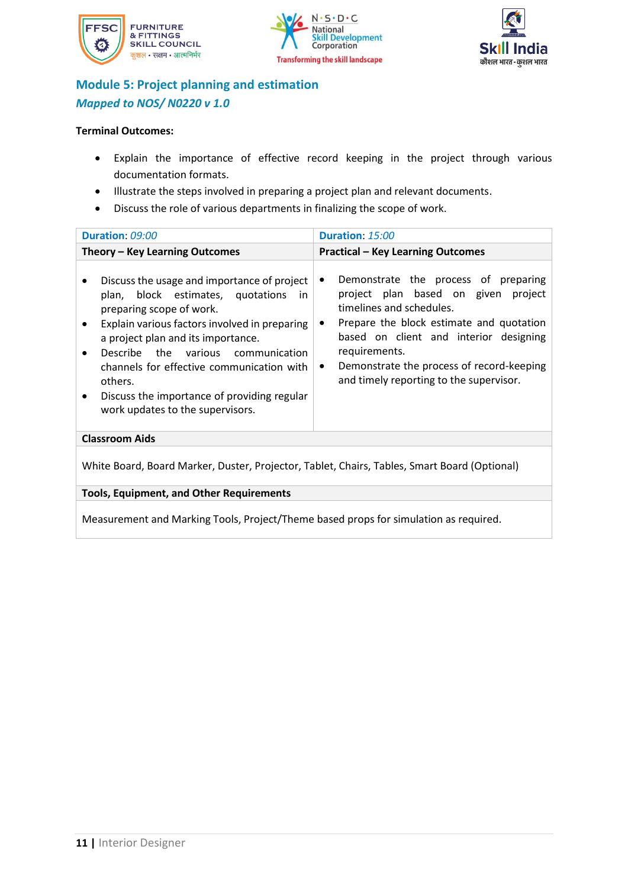





### **Module 5: Project planning and estimation** *Mapped to NOS/ N0220 v 1.0*

#### **Terminal Outcomes:**

- Explain the importance of effective record keeping in the project through various documentation formats.
- Illustrate the steps involved in preparing a project plan and relevant documents.
- Discuss the role of various departments in finalizing the scope of work.

| Duration: 09:00                                                                                                                                                                                                                                                                                                                                                                             | Duration: 15:00                                                                                                                                                                                                                                                                                                                     |  |  |
|---------------------------------------------------------------------------------------------------------------------------------------------------------------------------------------------------------------------------------------------------------------------------------------------------------------------------------------------------------------------------------------------|-------------------------------------------------------------------------------------------------------------------------------------------------------------------------------------------------------------------------------------------------------------------------------------------------------------------------------------|--|--|
| Theory – Key Learning Outcomes                                                                                                                                                                                                                                                                                                                                                              | <b>Practical - Key Learning Outcomes</b>                                                                                                                                                                                                                                                                                            |  |  |
| Discuss the usage and importance of project<br>plan, block estimates, quotations<br>-in<br>preparing scope of work.<br>Explain various factors involved in preparing<br>a project plan and its importance.<br>Describe the various communication<br>channels for effective communication with<br>others.<br>Discuss the importance of providing regular<br>work updates to the supervisors. | Demonstrate the process of preparing<br>$\bullet$<br>project plan based on given<br>project<br>timelines and schedules.<br>Prepare the block estimate and quotation<br>based on client and interior designing<br>requirements.<br>Demonstrate the process of record-keeping<br>$\bullet$<br>and timely reporting to the supervisor. |  |  |
| <b>Classroom Aids</b>                                                                                                                                                                                                                                                                                                                                                                       |                                                                                                                                                                                                                                                                                                                                     |  |  |
| White Board, Board Marker, Duster, Projector, Tablet, Chairs, Tables, Smart Board (Optional)                                                                                                                                                                                                                                                                                                |                                                                                                                                                                                                                                                                                                                                     |  |  |
| <b>Tools, Equipment, and Other Requirements</b>                                                                                                                                                                                                                                                                                                                                             |                                                                                                                                                                                                                                                                                                                                     |  |  |
|                                                                                                                                                                                                                                                                                                                                                                                             |                                                                                                                                                                                                                                                                                                                                     |  |  |

Measurement and Marking Tools, Project/Theme based props for simulation as required.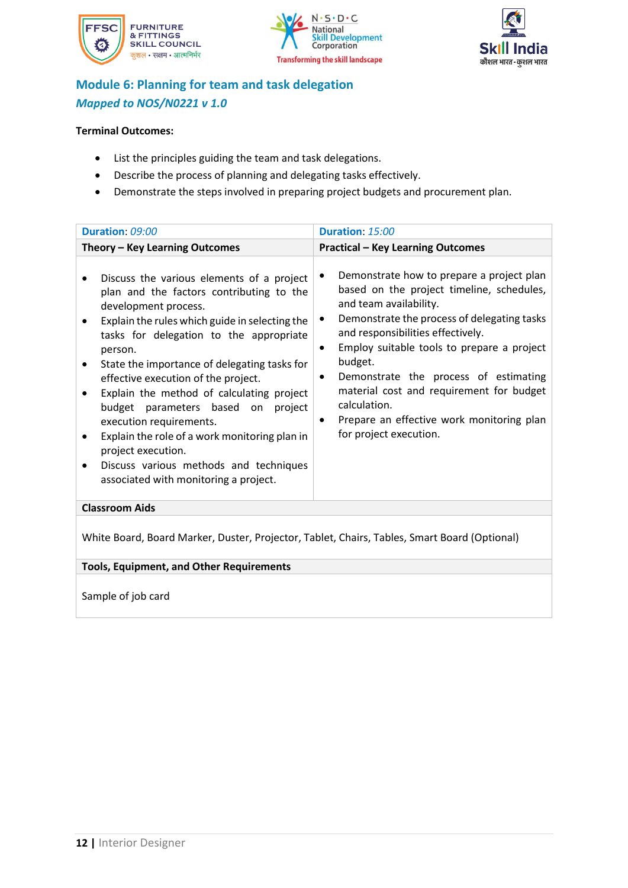





### **Module 6: Planning for team and task delegation** *Mapped to NOS/N0221 v 1.0*

#### **Terminal Outcomes:**

- List the principles guiding the team and task delegations.
- Describe the process of planning and delegating tasks effectively.
- Demonstrate the steps involved in preparing project budgets and procurement plan.

| Duration: 09:00                                                                                                                                                                                                                                                                                                                                                                                                                                                                                                                                                                      | Duration: 15:00                                                                                                                                                                                                                                                                                                                                                                                                                                     |
|--------------------------------------------------------------------------------------------------------------------------------------------------------------------------------------------------------------------------------------------------------------------------------------------------------------------------------------------------------------------------------------------------------------------------------------------------------------------------------------------------------------------------------------------------------------------------------------|-----------------------------------------------------------------------------------------------------------------------------------------------------------------------------------------------------------------------------------------------------------------------------------------------------------------------------------------------------------------------------------------------------------------------------------------------------|
| Theory - Key Learning Outcomes                                                                                                                                                                                                                                                                                                                                                                                                                                                                                                                                                       | <b>Practical - Key Learning Outcomes</b>                                                                                                                                                                                                                                                                                                                                                                                                            |
| Discuss the various elements of a project<br>plan and the factors contributing to the<br>development process.<br>Explain the rules which guide in selecting the<br>tasks for delegation to the appropriate<br>person.<br>State the importance of delegating tasks for<br>effective execution of the project.<br>Explain the method of calculating project<br>budget parameters based on project<br>execution requirements.<br>Explain the role of a work monitoring plan in<br>project execution.<br>Discuss various methods and techniques<br>associated with monitoring a project. | Demonstrate how to prepare a project plan<br>based on the project timeline, schedules,<br>and team availability.<br>Demonstrate the process of delegating tasks<br>and responsibilities effectively.<br>Employ suitable tools to prepare a project<br>budget.<br>Demonstrate the process of estimating<br>٠<br>material cost and requirement for budget<br>calculation.<br>Prepare an effective work monitoring plan<br>٠<br>for project execution. |
| <b>Classroom Aids</b>                                                                                                                                                                                                                                                                                                                                                                                                                                                                                                                                                                |                                                                                                                                                                                                                                                                                                                                                                                                                                                     |
|                                                                                                                                                                                                                                                                                                                                                                                                                                                                                                                                                                                      |                                                                                                                                                                                                                                                                                                                                                                                                                                                     |

White Board, Board Marker, Duster, Projector, Tablet, Chairs, Tables, Smart Board (Optional)

**Tools, Equipment, and Other Requirements** 

Sample of job card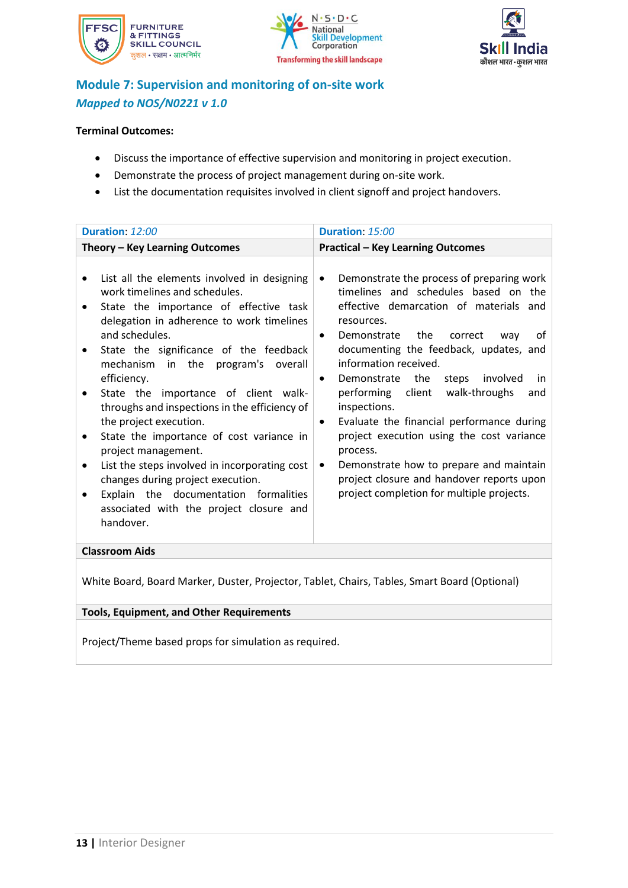





### **Module 7: Supervision and monitoring of on-site work** *Mapped to NOS/N0221 v 1.0*

#### **Terminal Outcomes:**

- Discuss the importance of effective supervision and monitoring in project execution.
- Demonstrate the process of project management during on-site work.
- List the documentation requisites involved in client signoff and project handovers.

| Duration: 12:00                                                                                                                                                                                                                                                                                                                                                                                                                                                                                                                                                                                                                                                                                     | Duration: 15:00                                                                                                                                                                                                                                                                                                                                                                                                                                                                                                                                                                                                                                                                   |
|-----------------------------------------------------------------------------------------------------------------------------------------------------------------------------------------------------------------------------------------------------------------------------------------------------------------------------------------------------------------------------------------------------------------------------------------------------------------------------------------------------------------------------------------------------------------------------------------------------------------------------------------------------------------------------------------------------|-----------------------------------------------------------------------------------------------------------------------------------------------------------------------------------------------------------------------------------------------------------------------------------------------------------------------------------------------------------------------------------------------------------------------------------------------------------------------------------------------------------------------------------------------------------------------------------------------------------------------------------------------------------------------------------|
| Theory - Key Learning Outcomes                                                                                                                                                                                                                                                                                                                                                                                                                                                                                                                                                                                                                                                                      | <b>Practical - Key Learning Outcomes</b>                                                                                                                                                                                                                                                                                                                                                                                                                                                                                                                                                                                                                                          |
| List all the elements involved in designing<br>work timelines and schedules.<br>State the importance of effective task<br>delegation in adherence to work timelines<br>and schedules.<br>State the significance of the feedback<br>٠<br>mechanism in the program's overall<br>efficiency.<br>State the importance of client walk-<br>throughs and inspections in the efficiency of<br>the project execution.<br>State the importance of cost variance in<br>$\bullet$<br>project management.<br>List the steps involved in incorporating cost<br>$\bullet$<br>changes during project execution.<br>the documentation formalities<br>Explain<br>associated with the project closure and<br>handover. | Demonstrate the process of preparing work<br>$\bullet$<br>timelines and schedules based on the<br>effective demarcation of materials and<br>resources.<br>the<br>Demonstrate<br>correct<br>οf<br>way<br>$\bullet$<br>documenting the feedback, updates, and<br>information received.<br>Demonstrate the<br>involved<br>steps<br>in<br>$\bullet$<br>performing client<br>walk-throughs<br>and<br>inspections.<br>Evaluate the financial performance during<br>$\bullet$<br>project execution using the cost variance<br>process.<br>Demonstrate how to prepare and maintain<br>$\bullet$<br>project closure and handover reports upon<br>project completion for multiple projects. |
| <b>Classroom Aids</b>                                                                                                                                                                                                                                                                                                                                                                                                                                                                                                                                                                                                                                                                               |                                                                                                                                                                                                                                                                                                                                                                                                                                                                                                                                                                                                                                                                                   |
|                                                                                                                                                                                                                                                                                                                                                                                                                                                                                                                                                                                                                                                                                                     |                                                                                                                                                                                                                                                                                                                                                                                                                                                                                                                                                                                                                                                                                   |

White Board, Board Marker, Duster, Projector, Tablet, Chairs, Tables, Smart Board (Optional)

### **Tools, Equipment, and Other Requirements**

Project/Theme based props for simulation as required.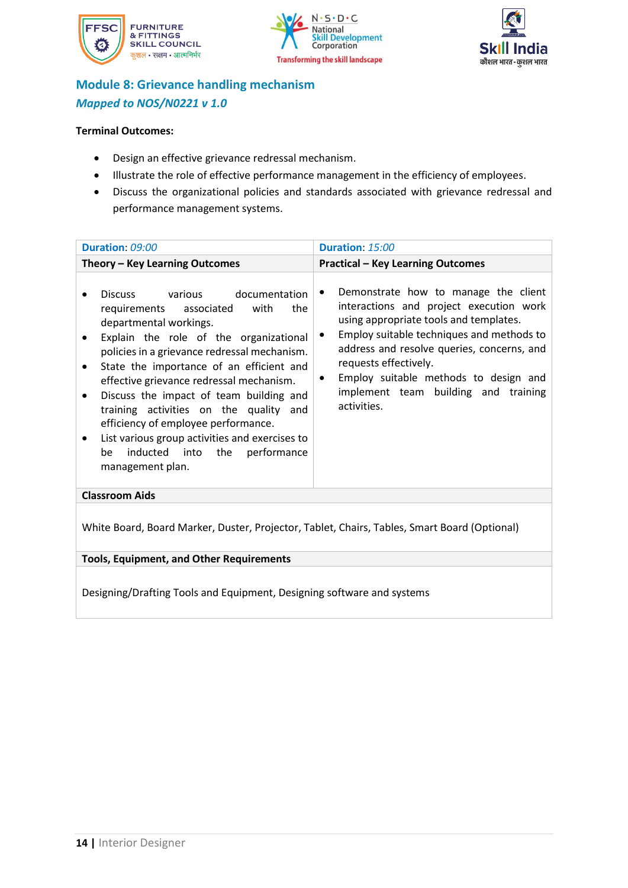





### **Module 8: Grievance handling mechanism** *Mapped to NOS/N0221 v 1.0*

#### **Terminal Outcomes:**

- Design an effective grievance redressal mechanism.
- Illustrate the role of effective performance management in the efficiency of employees.
- Discuss the organizational policies and standards associated with grievance redressal and performance management systems.

<span id="page-14-0"></span>

| Duration: 09:00                                                                                                                                                                                                                                                                                                                                                                                                                                                                                                                                   | Duration: 15:00                                                                                                                                                                                                                                                                                                                                                              |
|---------------------------------------------------------------------------------------------------------------------------------------------------------------------------------------------------------------------------------------------------------------------------------------------------------------------------------------------------------------------------------------------------------------------------------------------------------------------------------------------------------------------------------------------------|------------------------------------------------------------------------------------------------------------------------------------------------------------------------------------------------------------------------------------------------------------------------------------------------------------------------------------------------------------------------------|
| Theory - Key Learning Outcomes                                                                                                                                                                                                                                                                                                                                                                                                                                                                                                                    | <b>Practical - Key Learning Outcomes</b>                                                                                                                                                                                                                                                                                                                                     |
| Discuss various documentation<br>with<br>the<br>requirements associated<br>departmental workings.<br>Explain the role of the organizational<br>$\bullet$<br>policies in a grievance redressal mechanism.<br>State the importance of an efficient and<br>٠<br>effective grievance redressal mechanism.<br>Discuss the impact of team building and<br>training activities on the quality and<br>efficiency of employee performance.<br>List various group activities and exercises to<br>inducted into the<br>performance<br>be<br>management plan. | Demonstrate how to manage the client<br>٠<br>interactions and project execution work<br>using appropriate tools and templates.<br>Employ suitable techniques and methods to<br>$\bullet$<br>address and resolve queries, concerns, and<br>requests effectively.<br>Employ suitable methods to design and<br>$\bullet$<br>implement team building and training<br>activities. |
| <b>Classroom Aids</b>                                                                                                                                                                                                                                                                                                                                                                                                                                                                                                                             |                                                                                                                                                                                                                                                                                                                                                                              |
| White Board, Board Marker, Duster, Projector, Tablet, Chairs, Tables, Smart Board (Optional)                                                                                                                                                                                                                                                                                                                                                                                                                                                      |                                                                                                                                                                                                                                                                                                                                                                              |
| <b>Tools, Equipment, and Other Requirements</b>                                                                                                                                                                                                                                                                                                                                                                                                                                                                                                   |                                                                                                                                                                                                                                                                                                                                                                              |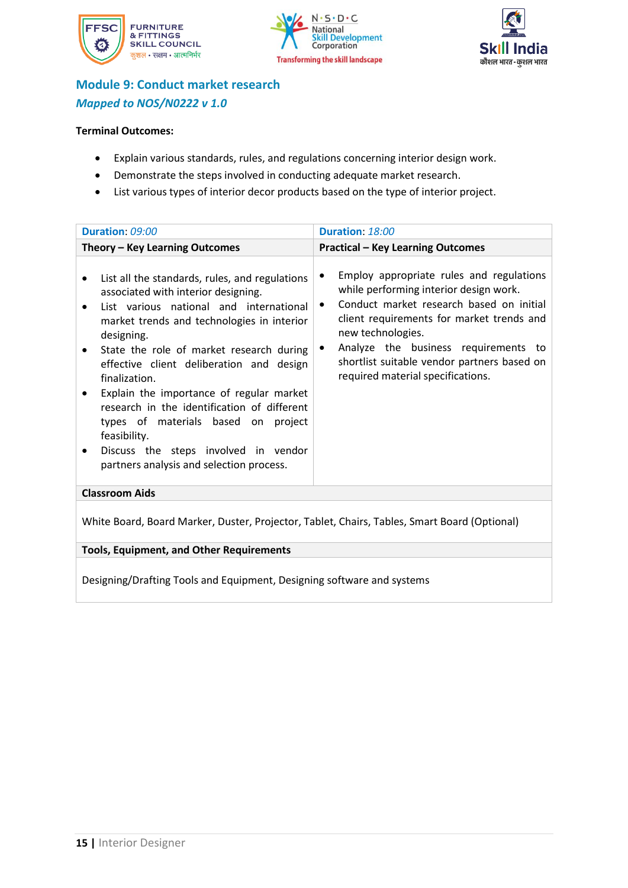





### **Module 9: Conduct market research** *Mapped to NOS/N0222 v 1.0*

#### **Terminal Outcomes:**

- Explain various standards, rules, and regulations concerning interior design work.
- Demonstrate the steps involved in conducting adequate market research.
- List various types of interior decor products based on the type of interior project.

| Duration: 09:00                                                                                                                                                                                                                                                                                                                                                                                                                                                                                                                             | Duration: 18:00                                                                                                                                                                                                                                                                                                                                             |
|---------------------------------------------------------------------------------------------------------------------------------------------------------------------------------------------------------------------------------------------------------------------------------------------------------------------------------------------------------------------------------------------------------------------------------------------------------------------------------------------------------------------------------------------|-------------------------------------------------------------------------------------------------------------------------------------------------------------------------------------------------------------------------------------------------------------------------------------------------------------------------------------------------------------|
| Theory - Key Learning Outcomes                                                                                                                                                                                                                                                                                                                                                                                                                                                                                                              | <b>Practical - Key Learning Outcomes</b>                                                                                                                                                                                                                                                                                                                    |
| List all the standards, rules, and regulations<br>associated with interior designing.<br>List various national and international<br>market trends and technologies in interior<br>designing.<br>State the role of market research during<br>effective client deliberation and design<br>finalization.<br>Explain the importance of regular market<br>research in the identification of different<br>types of materials based on project<br>feasibility.<br>Discuss the steps involved in vendor<br>partners analysis and selection process. | Employ appropriate rules and regulations<br>٠<br>while performing interior design work.<br>Conduct market research based on initial<br>$\bullet$<br>client requirements for market trends and<br>new technologies.<br>Analyze the business requirements to<br>$\bullet$<br>shortlist suitable vendor partners based on<br>required material specifications. |
| <b>Classroom Aids</b>                                                                                                                                                                                                                                                                                                                                                                                                                                                                                                                       |                                                                                                                                                                                                                                                                                                                                                             |
| White Board, Board Marker, Duster, Projector, Tablet, Chairs, Tables, Smart Board (Optional)                                                                                                                                                                                                                                                                                                                                                                                                                                                |                                                                                                                                                                                                                                                                                                                                                             |
| <b>Tools, Equipment, and Other Requirements</b>                                                                                                                                                                                                                                                                                                                                                                                                                                                                                             |                                                                                                                                                                                                                                                                                                                                                             |
|                                                                                                                                                                                                                                                                                                                                                                                                                                                                                                                                             |                                                                                                                                                                                                                                                                                                                                                             |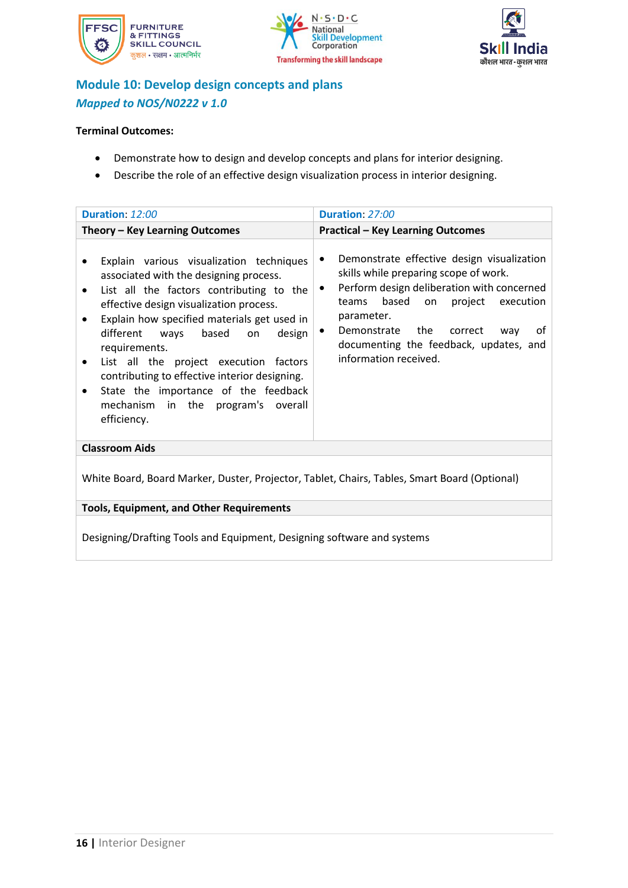





### **Module 10: Develop design concepts and plans** *Mapped to NOS/N0222 v 1.0*

#### **Terminal Outcomes:**

- Demonstrate how to design and develop concepts and plans for interior designing.
- Describe the role of an effective design visualization process in interior designing.

| Duration: 12:00                                                                                                                                                                                                                                                                                                                                                                                                                                                                                                      | Duration: 27:00                                                                                                                                                                                                                                                                                                                        |
|----------------------------------------------------------------------------------------------------------------------------------------------------------------------------------------------------------------------------------------------------------------------------------------------------------------------------------------------------------------------------------------------------------------------------------------------------------------------------------------------------------------------|----------------------------------------------------------------------------------------------------------------------------------------------------------------------------------------------------------------------------------------------------------------------------------------------------------------------------------------|
| Theory - Key Learning Outcomes                                                                                                                                                                                                                                                                                                                                                                                                                                                                                       | <b>Practical - Key Learning Outcomes</b>                                                                                                                                                                                                                                                                                               |
| Explain various visualization techniques<br>associated with the designing process.<br>List all the factors contributing to the<br>٠<br>effective design visualization process.<br>Explain how specified materials get used in<br>$\bullet$<br>based<br>different<br>ways<br>design<br>on.<br>requirements.<br>List all the project execution factors<br>٠<br>contributing to effective interior designing.<br>State the importance of the feedback<br>$\bullet$<br>mechanism in the program's overall<br>efficiency. | Demonstrate effective design visualization<br>٠<br>skills while preparing scope of work.<br>Perform design deliberation with concerned<br>$\bullet$<br>based<br>project execution<br>teams<br>on<br>parameter.<br>Demonstrate the correct<br>οf<br>way<br>$\bullet$<br>documenting the feedback, updates, and<br>information received. |
| <b>Classroom Aids</b>                                                                                                                                                                                                                                                                                                                                                                                                                                                                                                |                                                                                                                                                                                                                                                                                                                                        |
| White Board, Board Marker, Duster, Projector, Tablet, Chairs, Tables, Smart Board (Optional)                                                                                                                                                                                                                                                                                                                                                                                                                         |                                                                                                                                                                                                                                                                                                                                        |
| <b>Tools, Equipment, and Other Requirements</b>                                                                                                                                                                                                                                                                                                                                                                                                                                                                      |                                                                                                                                                                                                                                                                                                                                        |
| Designing/Drafting Tools and Equipment, Designing software and systems                                                                                                                                                                                                                                                                                                                                                                                                                                               |                                                                                                                                                                                                                                                                                                                                        |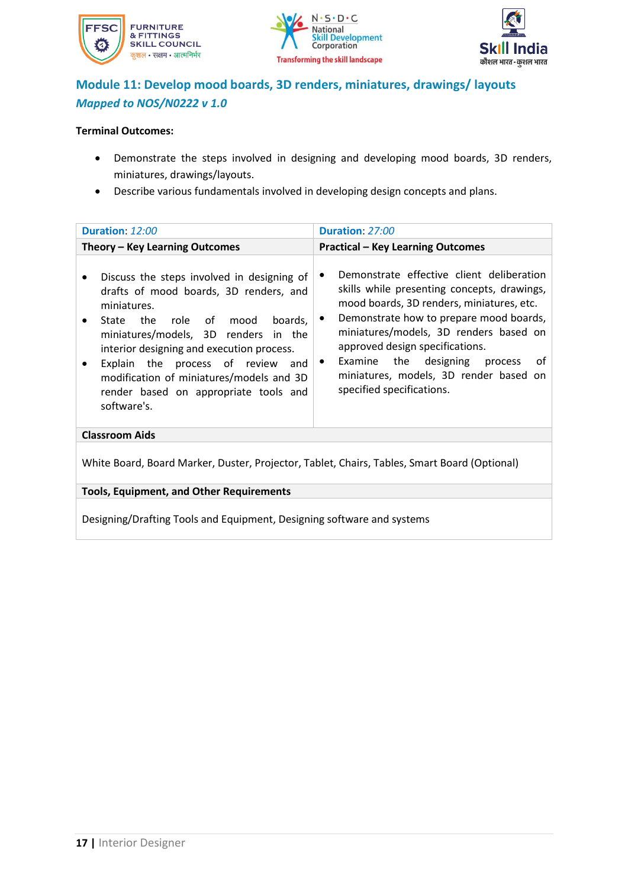





### **Module 11: Develop mood boards, 3D renders, miniatures, drawings/ layouts** *Mapped to NOS/N0222 v 1.0*

#### **Terminal Outcomes:**

- Demonstrate the steps involved in designing and developing mood boards, 3D renders, miniatures, drawings/layouts.
- Describe various fundamentals involved in developing design concepts and plans.

| Duration: 12:00                                                                                                                                                                                                                                                                                                                                                                    | Duration: 27:00                                                                                                                                                                                                                                                                                                                                                                                          |
|------------------------------------------------------------------------------------------------------------------------------------------------------------------------------------------------------------------------------------------------------------------------------------------------------------------------------------------------------------------------------------|----------------------------------------------------------------------------------------------------------------------------------------------------------------------------------------------------------------------------------------------------------------------------------------------------------------------------------------------------------------------------------------------------------|
| Theory – Key Learning Outcomes                                                                                                                                                                                                                                                                                                                                                     | <b>Practical - Key Learning Outcomes</b>                                                                                                                                                                                                                                                                                                                                                                 |
| Discuss the steps involved in designing of<br>drafts of mood boards, 3D renders, and<br>miniatures.<br>of<br>boards,<br>State the<br>role<br>mood<br>miniatures/models, 3D renders in the<br>interior designing and execution process.<br>Explain the process of review<br>and<br>modification of miniatures/models and 3D<br>render based on appropriate tools and<br>software's. | Demonstrate effective client deliberation<br>skills while presenting concepts, drawings,<br>mood boards, 3D renders, miniatures, etc.<br>Demonstrate how to prepare mood boards,<br>$\bullet$<br>miniatures/models, 3D renders based on<br>approved design specifications.<br>Examine the designing<br>of<br>process<br>$\bullet$<br>miniatures, models, 3D render based on<br>specified specifications. |
| <b>Classroom Aids</b>                                                                                                                                                                                                                                                                                                                                                              |                                                                                                                                                                                                                                                                                                                                                                                                          |
| White Board, Board Marker, Duster, Projector, Tablet, Chairs, Tables, Smart Board (Optional)                                                                                                                                                                                                                                                                                       |                                                                                                                                                                                                                                                                                                                                                                                                          |
| <b>Tools, Equipment, and Other Requirements</b>                                                                                                                                                                                                                                                                                                                                    |                                                                                                                                                                                                                                                                                                                                                                                                          |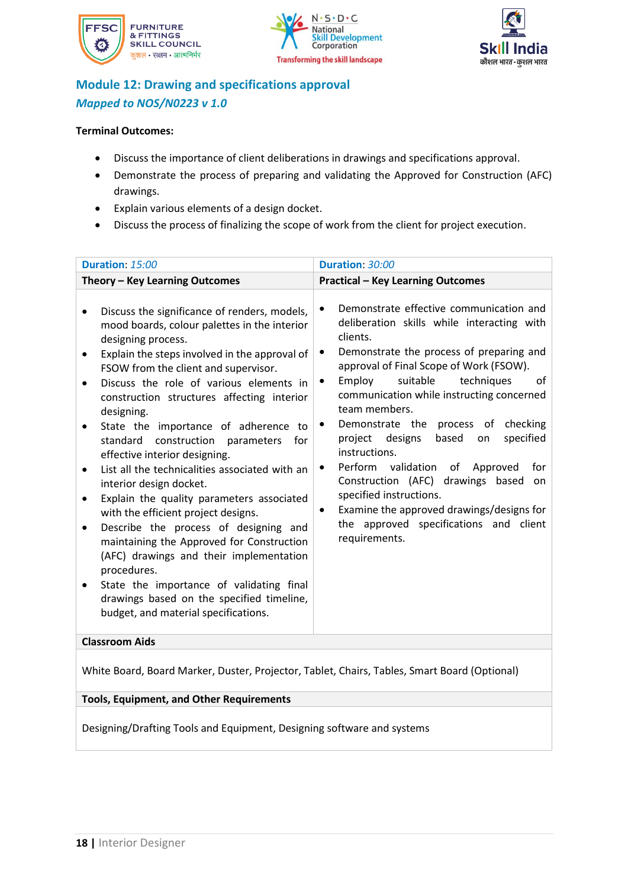





### **Module 12: Drawing and specifications approval** *Mapped to NOS/N0223 v 1.0*

#### **Terminal Outcomes:**

- Discuss the importance of client deliberations in drawings and specifications approval.
- Demonstrate the process of preparing and validating the Approved for Construction (AFC) drawings.
- Explain various elements of a design docket.
- Discuss the process of finalizing the scope of work from the client for project execution.

White Board, Board Marker, Duster, Projector, Tablet, Chairs, Tables, Smart Board (Optional)

### **Tools, Equipment, and Other Requirements**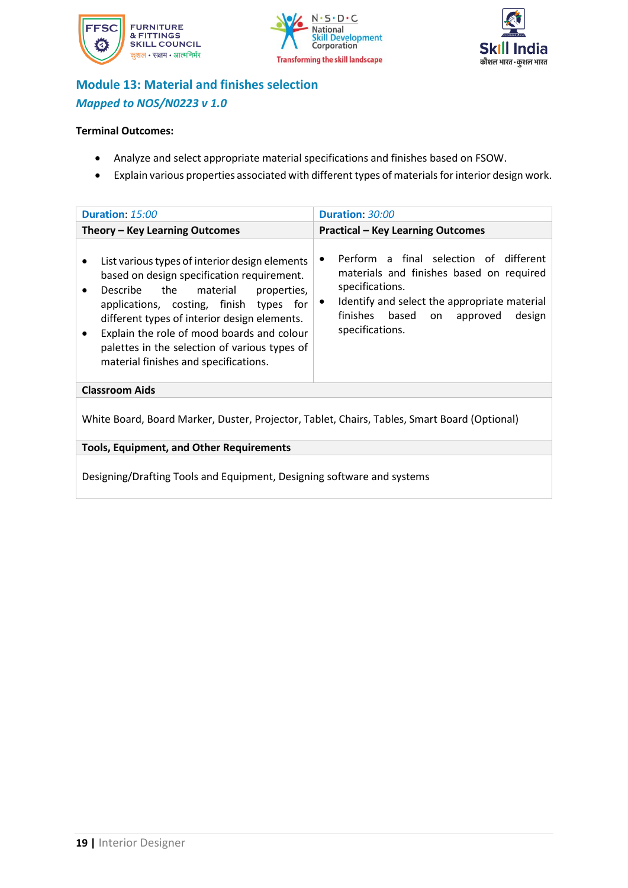





### **Module 13: Material and finishes selection** *Mapped to NOS/N0223 v 1.0*

#### **Terminal Outcomes:**

- Analyze and select appropriate material specifications and finishes based on FSOW.
- Explain various properties associated with different types of materials for interior design work.

| Duration: 15:00                                                                                                                                                                                                                                                                                                                                                                         | Duration: 30:00                                                                                                                                                                                                                  |
|-----------------------------------------------------------------------------------------------------------------------------------------------------------------------------------------------------------------------------------------------------------------------------------------------------------------------------------------------------------------------------------------|----------------------------------------------------------------------------------------------------------------------------------------------------------------------------------------------------------------------------------|
| Theory - Key Learning Outcomes                                                                                                                                                                                                                                                                                                                                                          | <b>Practical - Key Learning Outcomes</b>                                                                                                                                                                                         |
| List various types of interior design elements<br>$\bullet$<br>based on design specification requirement.<br>Describe the<br>material<br>properties,<br>applications, costing, finish types for<br>different types of interior design elements.<br>Explain the role of mood boards and colour<br>palettes in the selection of various types of<br>material finishes and specifications. | Perform a final selection of different<br>٠<br>materials and finishes based on required<br>specifications.<br>Identify and select the appropriate material<br>٠<br>finishes based<br>design<br>on<br>approved<br>specifications. |
| <b>Classroom Aids</b>                                                                                                                                                                                                                                                                                                                                                                   |                                                                                                                                                                                                                                  |
| White Board, Board Marker, Duster, Projector, Tablet, Chairs, Tables, Smart Board (Optional)                                                                                                                                                                                                                                                                                            |                                                                                                                                                                                                                                  |

**Tools, Equipment, and Other Requirements**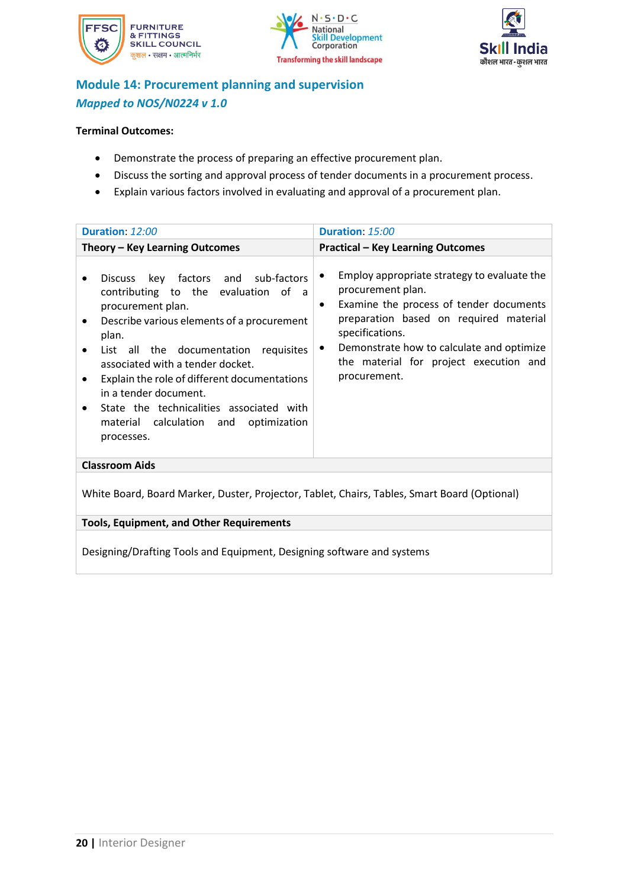





### **Module 14: Procurement planning and supervision** *Mapped to NOS/N0224 v 1.0*

#### **Terminal Outcomes:**

- Demonstrate the process of preparing an effective procurement plan.
- Discuss the sorting and approval process of tender documents in a procurement process.
- Explain various factors involved in evaluating and approval of a procurement plan.

| Duration: 12:00                                                                                                                                                                                                                                                                                                                                                                                                              | Duration: 15:00                                                                                                                                                                                                                                                                                                |  |
|------------------------------------------------------------------------------------------------------------------------------------------------------------------------------------------------------------------------------------------------------------------------------------------------------------------------------------------------------------------------------------------------------------------------------|----------------------------------------------------------------------------------------------------------------------------------------------------------------------------------------------------------------------------------------------------------------------------------------------------------------|--|
| Theory - Key Learning Outcomes                                                                                                                                                                                                                                                                                                                                                                                               | <b>Practical - Key Learning Outcomes</b>                                                                                                                                                                                                                                                                       |  |
| Discuss key factors and sub-factors<br>contributing to the evaluation of a<br>procurement plan.<br>Describe various elements of a procurement<br>$\bullet$<br>plan.<br>List all the documentation requisites<br>associated with a tender docket.<br>Explain the role of different documentations<br>in a tender document.<br>State the technicalities associated with<br>material calculation and optimization<br>processes. | Employ appropriate strategy to evaluate the<br>٠<br>procurement plan.<br>Examine the process of tender documents<br>$\bullet$<br>preparation based on required material<br>specifications.<br>Demonstrate how to calculate and optimize<br>$\bullet$<br>the material for project execution and<br>procurement. |  |
| <b>Classroom Aids</b>                                                                                                                                                                                                                                                                                                                                                                                                        |                                                                                                                                                                                                                                                                                                                |  |
| White Board, Board Marker, Duster, Projector, Tablet, Chairs, Tables, Smart Board (Optional)                                                                                                                                                                                                                                                                                                                                 |                                                                                                                                                                                                                                                                                                                |  |
| <b>Tools, Equipment, and Other Requirements</b>                                                                                                                                                                                                                                                                                                                                                                              |                                                                                                                                                                                                                                                                                                                |  |
| Designing/Drafting Tools and Equipment, Designing software and systems                                                                                                                                                                                                                                                                                                                                                       |                                                                                                                                                                                                                                                                                                                |  |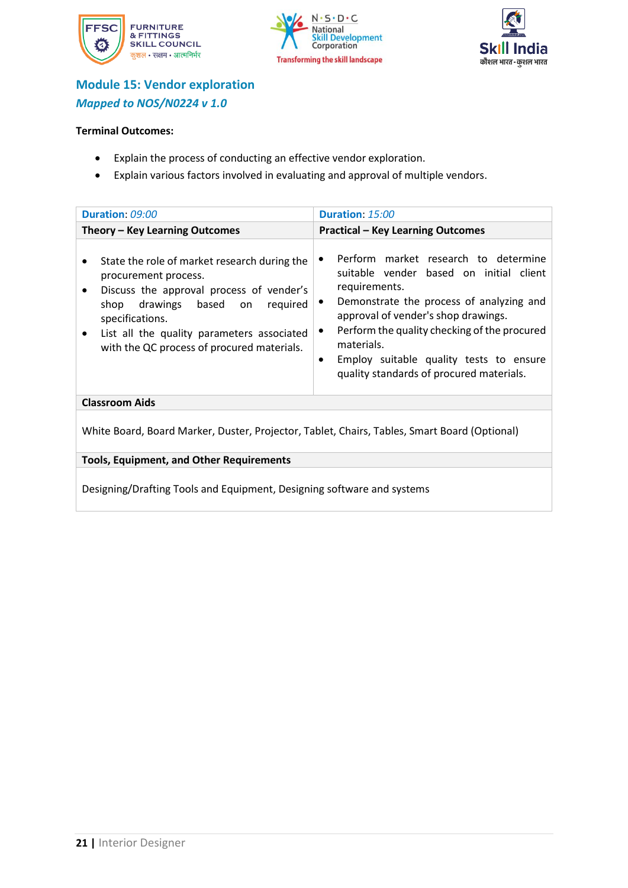





### **Module 15: Vendor exploration** *Mapped to NOS/N0224 v 1.0*

#### **Terminal Outcomes:**

- Explain the process of conducting an effective vendor exploration.
- Explain various factors involved in evaluating and approval of multiple vendors.

| Duration: 09:00                                                                                                                                                                                                                                                                | Duration: 15:00                                                                                                                                                                                                                                                                                                                                         |
|--------------------------------------------------------------------------------------------------------------------------------------------------------------------------------------------------------------------------------------------------------------------------------|---------------------------------------------------------------------------------------------------------------------------------------------------------------------------------------------------------------------------------------------------------------------------------------------------------------------------------------------------------|
| Theory – Key Learning Outcomes                                                                                                                                                                                                                                                 | <b>Practical - Key Learning Outcomes</b>                                                                                                                                                                                                                                                                                                                |
| State the role of market research during the<br>procurement process.<br>Discuss the approval process of vender's<br>based<br>drawings<br>shop<br>required<br>on<br>specifications.<br>List all the quality parameters associated<br>with the QC process of procured materials. | Perform market research to determine<br>suitable vender based on initial client<br>requirements.<br>Demonstrate the process of analyzing and<br>٠<br>approval of vender's shop drawings.<br>Perform the quality checking of the procured<br>٠<br>materials.<br>Employ suitable quality tests to ensure<br>٠<br>quality standards of procured materials. |
| <b>Classroom Aids</b>                                                                                                                                                                                                                                                          |                                                                                                                                                                                                                                                                                                                                                         |
| White Board, Board Marker, Duster, Projector, Tablet, Chairs, Tables, Smart Board (Optional)                                                                                                                                                                                   |                                                                                                                                                                                                                                                                                                                                                         |

**Tools, Equipment, and Other Requirements**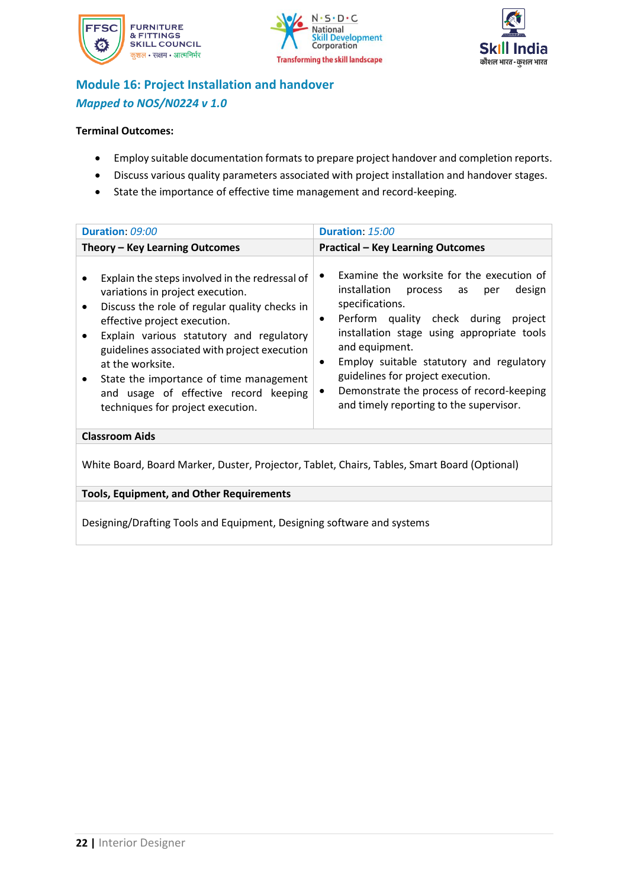





### **Module 16: Project Installation and handover** *Mapped to NOS/N0224 v 1.0*

#### **Terminal Outcomes:**

- Employ suitable documentation formats to prepare project handover and completion reports.
- Discuss various quality parameters associated with project installation and handover stages.
- State the importance of effective time management and record-keeping.

| Duration: 09:00                                                                                                                                                                                                                                                                                                                                                                                                           | Duration: 15:00                                                                                                                                                                                                                                                                                                                                                                                                     |
|---------------------------------------------------------------------------------------------------------------------------------------------------------------------------------------------------------------------------------------------------------------------------------------------------------------------------------------------------------------------------------------------------------------------------|---------------------------------------------------------------------------------------------------------------------------------------------------------------------------------------------------------------------------------------------------------------------------------------------------------------------------------------------------------------------------------------------------------------------|
| Theory - Key Learning Outcomes                                                                                                                                                                                                                                                                                                                                                                                            | <b>Practical - Key Learning Outcomes</b>                                                                                                                                                                                                                                                                                                                                                                            |
| Explain the steps involved in the redressal of<br>variations in project execution.<br>Discuss the role of regular quality checks in<br>effective project execution.<br>Explain various statutory and regulatory<br>guidelines associated with project execution<br>at the worksite.<br>State the importance of time management<br>$\bullet$<br>and usage of effective record keeping<br>techniques for project execution. | Examine the worksite for the execution of<br>٠<br>installation process<br>design<br>as<br>per<br>specifications.<br>Perform quality check during<br>project<br>٠<br>installation stage using appropriate tools<br>and equipment.<br>Employ suitable statutory and regulatory<br>٠<br>guidelines for project execution.<br>Demonstrate the process of record-keeping<br>٠<br>and timely reporting to the supervisor. |
| <b>Classroom Aids</b>                                                                                                                                                                                                                                                                                                                                                                                                     |                                                                                                                                                                                                                                                                                                                                                                                                                     |
| White Board, Board Marker, Duster, Projector, Tablet, Chairs, Tables, Smart Board (Optional)                                                                                                                                                                                                                                                                                                                              |                                                                                                                                                                                                                                                                                                                                                                                                                     |
| <b>Tools, Equipment, and Other Requirements</b>                                                                                                                                                                                                                                                                                                                                                                           |                                                                                                                                                                                                                                                                                                                                                                                                                     |
| Designing/Drafting Tools and Equipment, Designing software and systems                                                                                                                                                                                                                                                                                                                                                    |                                                                                                                                                                                                                                                                                                                                                                                                                     |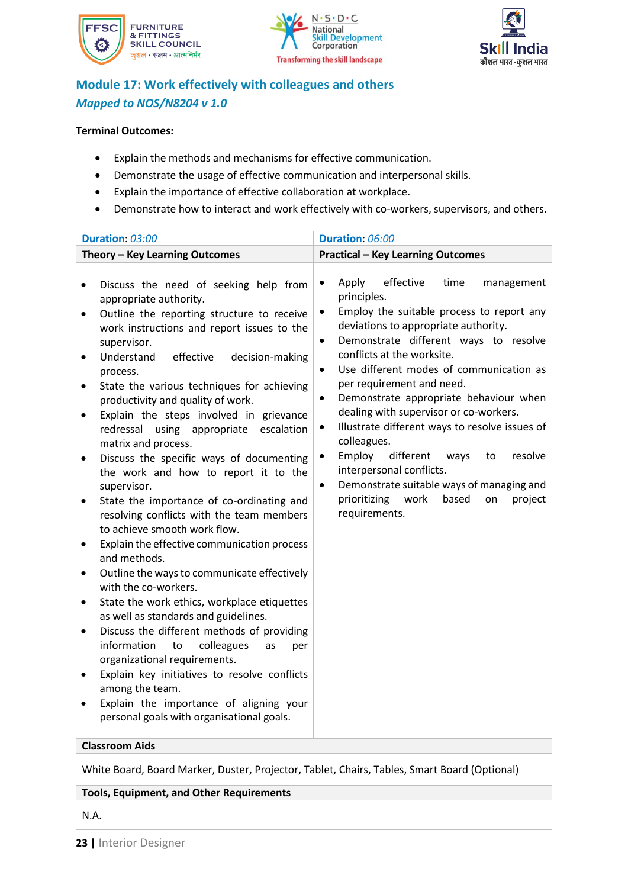





### **Module 17: Work effectively with colleagues and others** *Mapped to NOS/N8204 v 1.0*

#### **Terminal Outcomes:**

- Explain the methods and mechanisms for effective communication.
- Demonstrate the usage of effective communication and interpersonal skills.
- Explain the importance of effective collaboration at workplace.
- Demonstrate how to interact and work effectively with co-workers, supervisors, and others.

| Duration: 03:00                                                                                                                                                                                                                                                                                                                                                                                                                                                                                                                                                                                                                                                                                                                                                                                                                                                                                                                                                                                                                                                                                                                                                                                                                         | Duration: 06:00                                                                                                                                                                                                                                                                                                                                                                                                                                                                                                                                                                                                                                                                                                                                      |
|-----------------------------------------------------------------------------------------------------------------------------------------------------------------------------------------------------------------------------------------------------------------------------------------------------------------------------------------------------------------------------------------------------------------------------------------------------------------------------------------------------------------------------------------------------------------------------------------------------------------------------------------------------------------------------------------------------------------------------------------------------------------------------------------------------------------------------------------------------------------------------------------------------------------------------------------------------------------------------------------------------------------------------------------------------------------------------------------------------------------------------------------------------------------------------------------------------------------------------------------|------------------------------------------------------------------------------------------------------------------------------------------------------------------------------------------------------------------------------------------------------------------------------------------------------------------------------------------------------------------------------------------------------------------------------------------------------------------------------------------------------------------------------------------------------------------------------------------------------------------------------------------------------------------------------------------------------------------------------------------------------|
| Theory - Key Learning Outcomes                                                                                                                                                                                                                                                                                                                                                                                                                                                                                                                                                                                                                                                                                                                                                                                                                                                                                                                                                                                                                                                                                                                                                                                                          | <b>Practical - Key Learning Outcomes</b>                                                                                                                                                                                                                                                                                                                                                                                                                                                                                                                                                                                                                                                                                                             |
|                                                                                                                                                                                                                                                                                                                                                                                                                                                                                                                                                                                                                                                                                                                                                                                                                                                                                                                                                                                                                                                                                                                                                                                                                                         |                                                                                                                                                                                                                                                                                                                                                                                                                                                                                                                                                                                                                                                                                                                                                      |
| Discuss the need of seeking help from<br>$\bullet$<br>appropriate authority.<br>Outline the reporting structure to receive<br>$\bullet$<br>work instructions and report issues to the<br>supervisor.<br>Understand<br>effective<br>decision-making<br>$\bullet$<br>process.<br>State the various techniques for achieving<br>$\bullet$<br>productivity and quality of work.<br>Explain the steps involved in grievance<br>$\bullet$<br>redressal using appropriate escalation<br>matrix and process.<br>Discuss the specific ways of documenting<br>$\bullet$<br>the work and how to report it to the<br>supervisor.<br>State the importance of co-ordinating and<br>$\bullet$<br>resolving conflicts with the team members<br>to achieve smooth work flow.<br>Explain the effective communication process<br>$\bullet$<br>and methods.<br>Outline the ways to communicate effectively<br>$\bullet$<br>with the co-workers.<br>State the work ethics, workplace etiquettes<br>$\bullet$<br>as well as standards and guidelines.<br>Discuss the different methods of providing<br>$\bullet$<br>information<br>colleagues<br>to<br>as<br>per<br>organizational requirements.<br>Explain key initiatives to resolve conflicts<br>$\bullet$ | effective<br>Apply<br>time<br>management<br>$\bullet$<br>principles.<br>Employ the suitable process to report any<br>$\bullet$<br>deviations to appropriate authority.<br>Demonstrate different ways to resolve<br>$\bullet$<br>conflicts at the worksite.<br>Use different modes of communication as<br>$\bullet$<br>per requirement and need.<br>Demonstrate appropriate behaviour when<br>$\bullet$<br>dealing with supervisor or co-workers.<br>Illustrate different ways to resolve issues of<br>$\bullet$<br>colleagues.<br>Employ<br>different<br>resolve<br>$\bullet$<br>ways<br>to<br>interpersonal conflicts.<br>Demonstrate suitable ways of managing and<br>$\bullet$<br>prioritizing<br>work<br>based<br>project<br>on<br>requirements. |
| among the team.<br>Explain the importance of aligning your<br>$\bullet$<br>personal goals with organisational goals.                                                                                                                                                                                                                                                                                                                                                                                                                                                                                                                                                                                                                                                                                                                                                                                                                                                                                                                                                                                                                                                                                                                    |                                                                                                                                                                                                                                                                                                                                                                                                                                                                                                                                                                                                                                                                                                                                                      |
| <b>Classroom Aids</b>                                                                                                                                                                                                                                                                                                                                                                                                                                                                                                                                                                                                                                                                                                                                                                                                                                                                                                                                                                                                                                                                                                                                                                                                                   |                                                                                                                                                                                                                                                                                                                                                                                                                                                                                                                                                                                                                                                                                                                                                      |
|                                                                                                                                                                                                                                                                                                                                                                                                                                                                                                                                                                                                                                                                                                                                                                                                                                                                                                                                                                                                                                                                                                                                                                                                                                         |                                                                                                                                                                                                                                                                                                                                                                                                                                                                                                                                                                                                                                                                                                                                                      |
| White Board, Board Marker, Duster, Projector, Tablet, Chairs, Tables, Smart Board (Optional)                                                                                                                                                                                                                                                                                                                                                                                                                                                                                                                                                                                                                                                                                                                                                                                                                                                                                                                                                                                                                                                                                                                                            |                                                                                                                                                                                                                                                                                                                                                                                                                                                                                                                                                                                                                                                                                                                                                      |

**Tools, Equipment, and Other Requirements** 

N.A.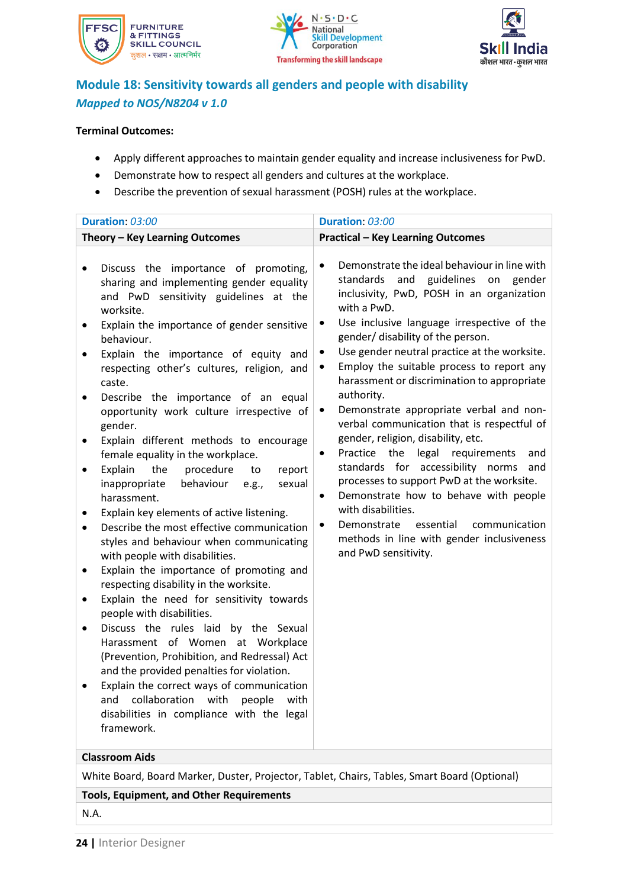





### **Module 18: Sensitivity towards all genders and people with disability** *Mapped to NOS/N8204 v 1.0*

#### **Terminal Outcomes:**

- Apply different approaches to maintain gender equality and increase inclusiveness for PwD.
- Demonstrate how to respect all genders and cultures at the workplace.
- Describe the prevention of sexual harassment (POSH) rules at the workplace.

| Theory - Key Learning Outcomes                                                                                                                                                                                                                                                                                                                                                                                                                                                                                                                                                                                                                                                                                                                                                                                                                                                                                                                                                                                                                                                                                                                                                                                                                                                                                                                                  | <b>Practical - Key Learning Outcomes</b>                                                                                                                                                                                                                                                                                                                                                                                                                                                                                                                                                                                                                                                                                                                                                                                                                                                                   |
|-----------------------------------------------------------------------------------------------------------------------------------------------------------------------------------------------------------------------------------------------------------------------------------------------------------------------------------------------------------------------------------------------------------------------------------------------------------------------------------------------------------------------------------------------------------------------------------------------------------------------------------------------------------------------------------------------------------------------------------------------------------------------------------------------------------------------------------------------------------------------------------------------------------------------------------------------------------------------------------------------------------------------------------------------------------------------------------------------------------------------------------------------------------------------------------------------------------------------------------------------------------------------------------------------------------------------------------------------------------------|------------------------------------------------------------------------------------------------------------------------------------------------------------------------------------------------------------------------------------------------------------------------------------------------------------------------------------------------------------------------------------------------------------------------------------------------------------------------------------------------------------------------------------------------------------------------------------------------------------------------------------------------------------------------------------------------------------------------------------------------------------------------------------------------------------------------------------------------------------------------------------------------------------|
|                                                                                                                                                                                                                                                                                                                                                                                                                                                                                                                                                                                                                                                                                                                                                                                                                                                                                                                                                                                                                                                                                                                                                                                                                                                                                                                                                                 |                                                                                                                                                                                                                                                                                                                                                                                                                                                                                                                                                                                                                                                                                                                                                                                                                                                                                                            |
| Discuss the importance of promoting,<br>٠<br>sharing and implementing gender equality<br>and PwD sensitivity guidelines at the<br>worksite.<br>Explain the importance of gender sensitive<br>$\bullet$<br>behaviour.<br>Explain the importance of equity and<br>respecting other's cultures, religion, and<br>caste.<br>Describe the importance of an equal<br>٠<br>opportunity work culture irrespective of<br>gender.<br>Explain different methods to encourage<br>$\bullet$<br>female equality in the workplace.<br>the<br>Explain<br>procedure<br>report<br>to<br>$\bullet$<br>behaviour<br>inappropriate<br>sexual<br>e.g.,<br>harassment.<br>Explain key elements of active listening.<br>Describe the most effective communication<br>styles and behaviour when communicating<br>with people with disabilities.<br>Explain the importance of promoting and<br>٠<br>respecting disability in the worksite.<br>Explain the need for sensitivity towards<br>٠<br>people with disabilities.<br>Discuss the rules laid by the Sexual<br>٠<br>Harassment of Women at Workplace<br>(Prevention, Prohibition, and Redressal) Act<br>and the provided penalties for violation.<br>Explain the correct ways of communication<br>collaboration<br>and<br>with<br>people<br>with<br>disabilities in compliance with the legal<br>framework.<br><b>Classroom Aids</b> | Demonstrate the ideal behaviour in line with<br>$\bullet$<br>and guidelines on<br>standards<br>gender<br>inclusivity, PwD, POSH in an organization<br>with a PwD.<br>Use inclusive language irrespective of the<br>٠<br>gender/ disability of the person.<br>Use gender neutral practice at the worksite.<br>٠<br>Employ the suitable process to report any<br>harassment or discrimination to appropriate<br>authority.<br>Demonstrate appropriate verbal and non-<br>٠<br>verbal communication that is respectful of<br>gender, religion, disability, etc.<br>Practice the legal requirements<br>and<br>$\bullet$<br>standards for accessibility norms<br>and<br>processes to support PwD at the worksite.<br>Demonstrate how to behave with people<br>$\bullet$<br>with disabilities.<br>essential<br>communication<br>Demonstrate<br>methods in line with gender inclusiveness<br>and PwD sensitivity. |
| White Board, Board Marker, Duster, Projector, Tablet, Chairs, Tables, Smart Board (Optional)                                                                                                                                                                                                                                                                                                                                                                                                                                                                                                                                                                                                                                                                                                                                                                                                                                                                                                                                                                                                                                                                                                                                                                                                                                                                    |                                                                                                                                                                                                                                                                                                                                                                                                                                                                                                                                                                                                                                                                                                                                                                                                                                                                                                            |
| <b>Tools, Equipment, and Other Requirements</b>                                                                                                                                                                                                                                                                                                                                                                                                                                                                                                                                                                                                                                                                                                                                                                                                                                                                                                                                                                                                                                                                                                                                                                                                                                                                                                                 |                                                                                                                                                                                                                                                                                                                                                                                                                                                                                                                                                                                                                                                                                                                                                                                                                                                                                                            |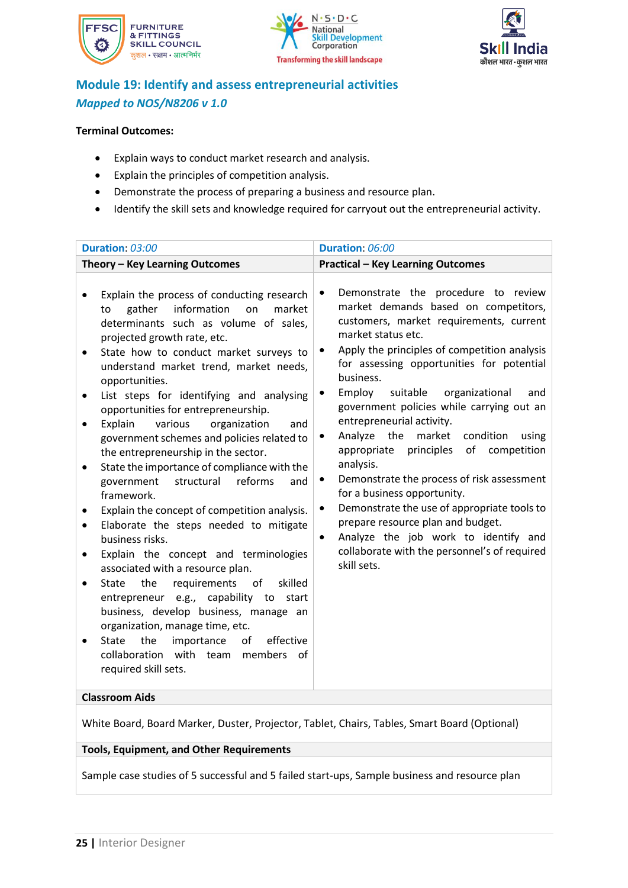





### **Module 19: Identify and assess entrepreneurial activities** *Mapped to NOS/N8206 v 1.0*

#### **Terminal Outcomes:**

- Explain ways to conduct market research and analysis.
- Explain the principles of competition analysis.
- Demonstrate the process of preparing a business and resource plan.
- Identify the skill sets and knowledge required for carryout out the entrepreneurial activity.

| Duration: 03:00                                                                                                                                                                                                                                                                                                                                                                                                                                                                                                                                                                                                                                                                                                                                                                                                                                                                                                                                                                                                                                                                                                                                                   | Duration: 06:00                                                                                                                                                                                                                                                                                                                                                                                                                                                                                                                                                                                                                                                                                                                                                                                                                             |  |  |
|-------------------------------------------------------------------------------------------------------------------------------------------------------------------------------------------------------------------------------------------------------------------------------------------------------------------------------------------------------------------------------------------------------------------------------------------------------------------------------------------------------------------------------------------------------------------------------------------------------------------------------------------------------------------------------------------------------------------------------------------------------------------------------------------------------------------------------------------------------------------------------------------------------------------------------------------------------------------------------------------------------------------------------------------------------------------------------------------------------------------------------------------------------------------|---------------------------------------------------------------------------------------------------------------------------------------------------------------------------------------------------------------------------------------------------------------------------------------------------------------------------------------------------------------------------------------------------------------------------------------------------------------------------------------------------------------------------------------------------------------------------------------------------------------------------------------------------------------------------------------------------------------------------------------------------------------------------------------------------------------------------------------------|--|--|
| Theory - Key Learning Outcomes                                                                                                                                                                                                                                                                                                                                                                                                                                                                                                                                                                                                                                                                                                                                                                                                                                                                                                                                                                                                                                                                                                                                    | <b>Practical - Key Learning Outcomes</b>                                                                                                                                                                                                                                                                                                                                                                                                                                                                                                                                                                                                                                                                                                                                                                                                    |  |  |
| Explain the process of conducting research<br>information<br>gather<br>on<br>market<br>to<br>determinants such as volume of sales,<br>projected growth rate, etc.<br>State how to conduct market surveys to<br>٠<br>understand market trend, market needs,<br>opportunities.<br>List steps for identifying and analysing<br>٠<br>opportunities for entrepreneurship.<br>Explain<br>various<br>organization<br>and<br>$\bullet$<br>government schemes and policies related to<br>the entrepreneurship in the sector.<br>State the importance of compliance with the<br>structural<br>reforms<br>government<br>and<br>framework.<br>Explain the concept of competition analysis.<br>Elaborate the steps needed to mitigate<br>$\bullet$<br>business risks.<br>Explain the concept and terminologies<br>associated with a resource plan.<br>requirements<br><b>State</b><br>the<br>of<br>skilled<br>entrepreneur e.g., capability to<br>start<br>business, develop business, manage an<br>organization, manage time, etc.<br>the<br>importance<br><b>State</b><br>of<br>effective<br>collaboration with team members<br>of<br>required skill sets.<br>Claccroom Aide | Demonstrate the procedure to review<br>$\bullet$<br>market demands based on competitors,<br>customers, market requirements, current<br>market status etc.<br>Apply the principles of competition analysis<br>٠<br>for assessing opportunities for potential<br>business.<br>Employ<br>suitable<br>organizational<br>and<br>$\bullet$<br>government policies while carrying out an<br>entrepreneurial activity.<br>Analyze<br>the<br>market<br>condition<br>using<br>٠<br>principles<br>of<br>competition<br>appropriate<br>analysis.<br>Demonstrate the process of risk assessment<br>$\bullet$<br>for a business opportunity.<br>Demonstrate the use of appropriate tools to<br>٠<br>prepare resource plan and budget.<br>Analyze the job work to identify and<br>$\bullet$<br>collaborate with the personnel's of required<br>skill sets. |  |  |

#### **Classroom Aids**

White Board, Board Marker, Duster, Projector, Tablet, Chairs, Tables, Smart Board (Optional)

#### **Tools, Equipment, and Other Requirements**

Sample case studies of 5 successful and 5 failed start-ups, Sample business and resource plan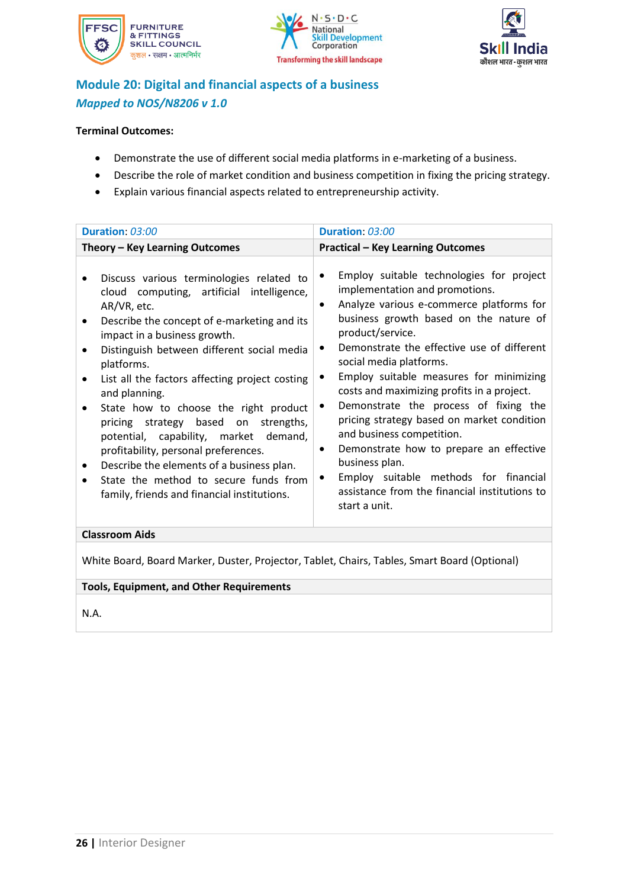





### **Module 20: Digital and financial aspects of a business** *Mapped to NOS/N8206 v 1.0*

### **Terminal Outcomes:**

- Demonstrate the use of different social media platforms in e-marketing of a business.
- Describe the role of market condition and business competition in fixing the pricing strategy.
- Explain various financial aspects related to entrepreneurship activity.

| Duration: 03:00                                                                                                                                                                                                                                                                                                                                                                                                                                                                                                                                                                                                                        | Duration: 03:00                                                                                                                                                                                                                                                                                                                                                                                                                                                                                                                                                                                                                                                                                  |  |  |
|----------------------------------------------------------------------------------------------------------------------------------------------------------------------------------------------------------------------------------------------------------------------------------------------------------------------------------------------------------------------------------------------------------------------------------------------------------------------------------------------------------------------------------------------------------------------------------------------------------------------------------------|--------------------------------------------------------------------------------------------------------------------------------------------------------------------------------------------------------------------------------------------------------------------------------------------------------------------------------------------------------------------------------------------------------------------------------------------------------------------------------------------------------------------------------------------------------------------------------------------------------------------------------------------------------------------------------------------------|--|--|
| Theory - Key Learning Outcomes                                                                                                                                                                                                                                                                                                                                                                                                                                                                                                                                                                                                         | <b>Practical - Key Learning Outcomes</b>                                                                                                                                                                                                                                                                                                                                                                                                                                                                                                                                                                                                                                                         |  |  |
| Discuss various terminologies related to<br>cloud computing, artificial intelligence,<br>AR/VR, etc.<br>Describe the concept of e-marketing and its<br>impact in a business growth.<br>Distinguish between different social media<br>platforms.<br>List all the factors affecting project costing<br>and planning.<br>State how to choose the right product<br>pricing strategy based on strengths,<br>potential, capability, market demand,<br>profitability, personal preferences.<br>Describe the elements of a business plan.<br>$\bullet$<br>State the method to secure funds from<br>family, friends and financial institutions. | Employ suitable technologies for project<br>$\bullet$<br>implementation and promotions.<br>Analyze various e-commerce platforms for<br>$\bullet$<br>business growth based on the nature of<br>product/service.<br>Demonstrate the effective use of different<br>٠<br>social media platforms.<br>Employ suitable measures for minimizing<br>costs and maximizing profits in a project.<br>Demonstrate the process of fixing the<br>٠<br>pricing strategy based on market condition<br>and business competition.<br>Demonstrate how to prepare an effective<br>٠<br>business plan.<br>Employ suitable methods for financial<br>٠<br>assistance from the financial institutions to<br>start a unit. |  |  |
| <b>Classroom Aids</b>                                                                                                                                                                                                                                                                                                                                                                                                                                                                                                                                                                                                                  |                                                                                                                                                                                                                                                                                                                                                                                                                                                                                                                                                                                                                                                                                                  |  |  |

White Board, Board Marker, Duster, Projector, Tablet, Chairs, Tables, Smart Board (Optional)

### **Tools, Equipment, and Other Requirements**

N.A.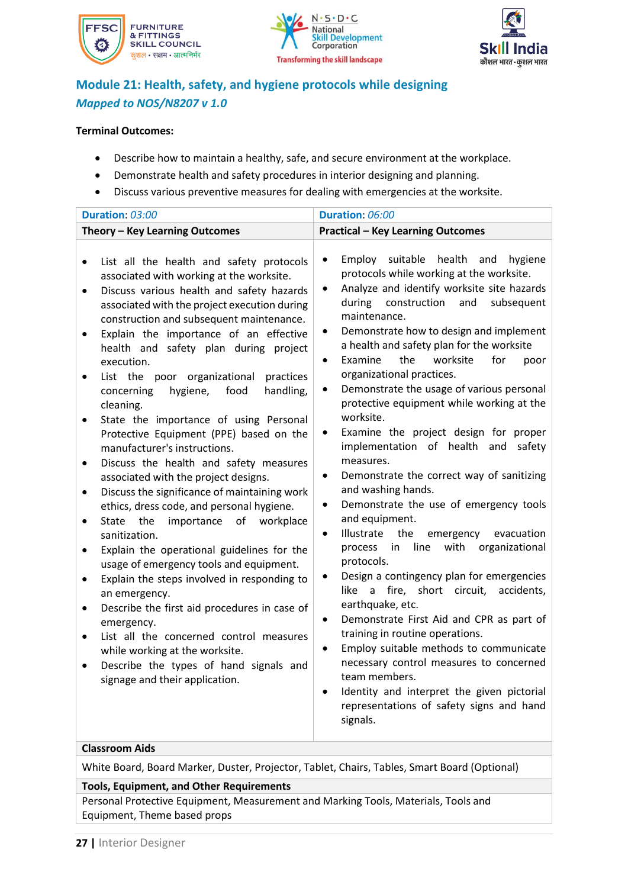





### **Module 21: Health, safety, and hygiene protocols while designing** *Mapped to NOS/N8207 v 1.0*

#### **Terminal Outcomes:**

- Describe how to maintain a healthy, safe, and secure environment at the workplace.
- Demonstrate health and safety procedures in interior designing and planning.
- Discuss various preventive measures for dealing with emergencies at the worksite.

| Duration: 03:00                                                                                                                                                                                                                                                                                                                                                                                                                                                                                                                                                                                                                                                                                                                                                                                                                                                                                                                                                                                                                                                                                                                                                                                                                                                                                                                                                                                                                                                                     | Duration: 06:00                                                                                                                                                                                                                                                                                                                                                                                                                                                                                                                                                                                                                                                                                                                                                                                                                                                                                                                                                                                                                                                                                                                                                                                                                           |  |  |  |  |
|-------------------------------------------------------------------------------------------------------------------------------------------------------------------------------------------------------------------------------------------------------------------------------------------------------------------------------------------------------------------------------------------------------------------------------------------------------------------------------------------------------------------------------------------------------------------------------------------------------------------------------------------------------------------------------------------------------------------------------------------------------------------------------------------------------------------------------------------------------------------------------------------------------------------------------------------------------------------------------------------------------------------------------------------------------------------------------------------------------------------------------------------------------------------------------------------------------------------------------------------------------------------------------------------------------------------------------------------------------------------------------------------------------------------------------------------------------------------------------------|-------------------------------------------------------------------------------------------------------------------------------------------------------------------------------------------------------------------------------------------------------------------------------------------------------------------------------------------------------------------------------------------------------------------------------------------------------------------------------------------------------------------------------------------------------------------------------------------------------------------------------------------------------------------------------------------------------------------------------------------------------------------------------------------------------------------------------------------------------------------------------------------------------------------------------------------------------------------------------------------------------------------------------------------------------------------------------------------------------------------------------------------------------------------------------------------------------------------------------------------|--|--|--|--|
| Theory - Key Learning Outcomes                                                                                                                                                                                                                                                                                                                                                                                                                                                                                                                                                                                                                                                                                                                                                                                                                                                                                                                                                                                                                                                                                                                                                                                                                                                                                                                                                                                                                                                      | <b>Practical - Key Learning Outcomes</b>                                                                                                                                                                                                                                                                                                                                                                                                                                                                                                                                                                                                                                                                                                                                                                                                                                                                                                                                                                                                                                                                                                                                                                                                  |  |  |  |  |
| List all the health and safety protocols<br>$\bullet$<br>associated with working at the worksite.<br>Discuss various health and safety hazards<br>$\bullet$<br>associated with the project execution during<br>construction and subsequent maintenance.<br>Explain the importance of an effective<br>$\bullet$<br>health and safety plan during project<br>$\bullet$<br>execution.<br>List the poor organizational<br>practices<br>$\bullet$<br>$\bullet$<br>hygiene,<br>food<br>handling,<br>concerning<br>cleaning.<br>State the importance of using Personal<br>$\bullet$<br>Protective Equipment (PPE) based on the<br>manufacturer's instructions.<br>Discuss the health and safety measures<br>$\bullet$<br>$\bullet$<br>associated with the project designs.<br>Discuss the significance of maintaining work<br>$\bullet$<br>$\bullet$<br>ethics, dress code, and personal hygiene.<br>the<br>importance<br>of<br>workplace<br>State<br>$\bullet$<br>$\bullet$<br>sanitization.<br>Explain the operational guidelines for the<br>٠<br>usage of emergency tools and equipment.<br>$\bullet$<br>Explain the steps involved in responding to<br>$\bullet$<br>an emergency.<br>Describe the first aid procedures in case of<br>$\bullet$<br>$\bullet$<br>emergency.<br>List all the concerned control measures<br>$\bullet$<br>$\bullet$<br>while working at the worksite.<br>Describe the types of hand signals and<br>$\bullet$<br>signage and their application.<br>$\bullet$ | Employ suitable<br>health and<br>hygiene<br>protocols while working at the worksite.<br>Analyze and identify worksite site hazards<br>construction<br>during<br>and<br>subsequent<br>maintenance.<br>Demonstrate how to design and implement<br>a health and safety plan for the worksite<br>Examine<br>the<br>worksite<br>for<br>poor<br>organizational practices.<br>Demonstrate the usage of various personal<br>protective equipment while working at the<br>worksite.<br>Examine the project design for proper<br>implementation of health and<br>safety<br>measures.<br>Demonstrate the correct way of sanitizing<br>and washing hands.<br>Demonstrate the use of emergency tools<br>and equipment.<br>Illustrate<br>the<br>evacuation<br>emergency<br>line<br>organizational<br>with<br>process<br>in<br>protocols.<br>Design a contingency plan for emergencies<br>short circuit,<br>accidents,<br>like<br>a fire,<br>earthquake, etc.<br>Demonstrate First Aid and CPR as part of<br>training in routine operations.<br>Employ suitable methods to communicate<br>necessary control measures to concerned<br>team members.<br>Identity and interpret the given pictorial<br>representations of safety signs and hand<br>signals. |  |  |  |  |

#### **Classroom Aids**

White Board, Board Marker, Duster, Projector, Tablet, Chairs, Tables, Smart Board (Optional)

#### **Tools, Equipment, and Other Requirements**

Personal Protective Equipment, Measurement and Marking Tools, Materials, Tools and Equipment, Theme based props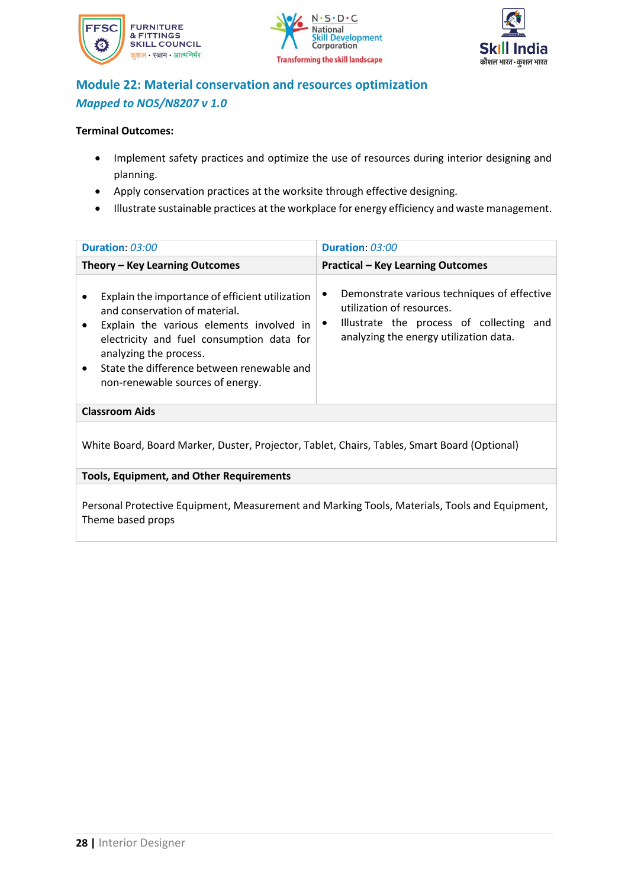





### **Module 22: Material conservation and resources optimization** *Mapped to NOS/N8207 v 1.0*

#### **Terminal Outcomes:**

- Implement safety practices and optimize the use of resources during interior designing and planning.
- Apply conservation practices at the worksite through effective designing.
- Illustrate sustainable practices at the workplace for energy efficiency and waste management.

| Duration: 03:00                                                                                                                                                                                                                                                                       | Duration: 03:00                                                                                                                                                             |  |  |  |
|---------------------------------------------------------------------------------------------------------------------------------------------------------------------------------------------------------------------------------------------------------------------------------------|-----------------------------------------------------------------------------------------------------------------------------------------------------------------------------|--|--|--|
| Theory – Key Learning Outcomes                                                                                                                                                                                                                                                        | <b>Practical - Key Learning Outcomes</b>                                                                                                                                    |  |  |  |
| Explain the importance of efficient utilization<br>and conservation of material.<br>Explain the various elements involved in<br>electricity and fuel consumption data for<br>analyzing the process.<br>State the difference between renewable and<br>non-renewable sources of energy. | Demonstrate various techniques of effective<br>utilization of resources.<br>Illustrate the process of collecting and<br>$\bullet$<br>analyzing the energy utilization data. |  |  |  |
| <b>Classroom Aids</b>                                                                                                                                                                                                                                                                 |                                                                                                                                                                             |  |  |  |
| White Board, Board Marker, Duster, Projector, Tablet, Chairs, Tables, Smart Board (Optional)<br><b>Tools, Equipment, and Other Requirements</b>                                                                                                                                       |                                                                                                                                                                             |  |  |  |
|                                                                                                                                                                                                                                                                                       |                                                                                                                                                                             |  |  |  |

Personal Protective Equipment, Measurement and Marking Tools, Materials, Tools and Equipment, Theme based props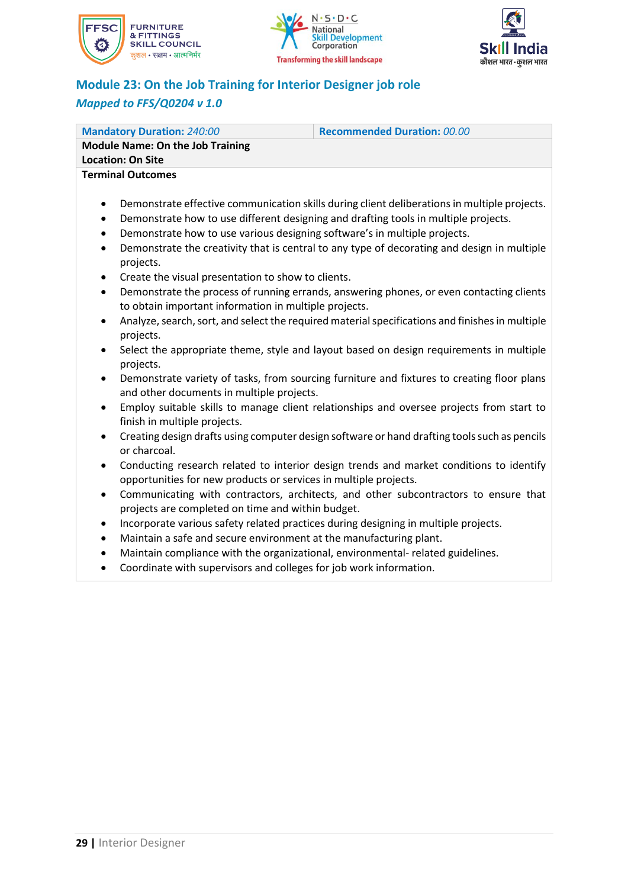





### **Module 23: On the Job Training for Interior Designer job role** *Mapped to FFS/Q0204 v 1.0*

| <b>Mandatory Duration: 240:00</b>                                                                                                          | <b>Recommended Duration: 00.00</b>                                                                                                                                                                                                                                                 |  |  |  |
|--------------------------------------------------------------------------------------------------------------------------------------------|------------------------------------------------------------------------------------------------------------------------------------------------------------------------------------------------------------------------------------------------------------------------------------|--|--|--|
| <b>Module Name: On the Job Training</b>                                                                                                    |                                                                                                                                                                                                                                                                                    |  |  |  |
| <b>Location: On Site</b>                                                                                                                   |                                                                                                                                                                                                                                                                                    |  |  |  |
| <b>Terminal Outcomes</b>                                                                                                                   |                                                                                                                                                                                                                                                                                    |  |  |  |
| $\bullet$<br>$\bullet$<br>Demonstrate how to use various designing software's in multiple projects.<br>$\bullet$<br>$\bullet$<br>projects. | Demonstrate effective communication skills during client deliberations in multiple projects.<br>Demonstrate how to use different designing and drafting tools in multiple projects.<br>Demonstrate the creativity that is central to any type of decorating and design in multiple |  |  |  |
| Create the visual presentation to show to clients.<br>$\bullet$                                                                            |                                                                                                                                                                                                                                                                                    |  |  |  |
| $\bullet$                                                                                                                                  | Demonstrate the process of running errands, answering phones, or even contacting clients                                                                                                                                                                                           |  |  |  |

- to obtain important information in multiple projects. • Analyze, search, sort, and select the required material specifications and finishesin multiple projects.
- Select the appropriate theme, style and layout based on design requirements in multiple projects.
- Demonstrate variety of tasks, from sourcing furniture and fixtures to creating floor plans and other documents in multiple projects.
- Employ suitable skills to manage client relationships and oversee projects from start to finish in multiple projects.
- Creating design drafts using computer design software or hand drafting tools such as pencils or charcoal.
- Conducting research related to interior design trends and market conditions to identify opportunities for new products or services in multiple projects.
- Communicating with contractors, architects, and other subcontractors to ensure that projects are completed on time and within budget.
- Incorporate various safety related practices during designing in multiple projects.
- Maintain a safe and secure environment at the manufacturing plant.
- Maintain compliance with the organizational, environmental- related guidelines.
- Coordinate with supervisors and colleges for job work information.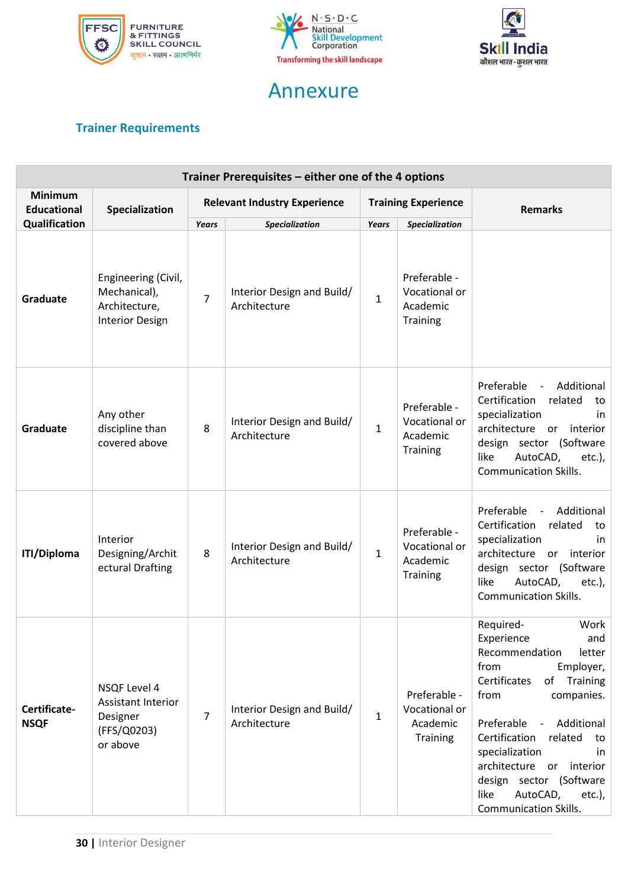



## Annexure



### <span id="page-30-0"></span>**Trainer Requirements**

| Trainer Prerequisites – either one of the 4 options |                                                                                |                                     |                                                                     |                              |                                                                                |                                                                                                                                                                                                                                                                                                                                                        |
|-----------------------------------------------------|--------------------------------------------------------------------------------|-------------------------------------|---------------------------------------------------------------------|------------------------------|--------------------------------------------------------------------------------|--------------------------------------------------------------------------------------------------------------------------------------------------------------------------------------------------------------------------------------------------------------------------------------------------------------------------------------------------------|
| <b>Minimum</b><br><b>Educational</b>                | Specialization                                                                 | <b>Relevant Industry Experience</b> |                                                                     | <b>Training Experience</b>   |                                                                                | <b>Remarks</b>                                                                                                                                                                                                                                                                                                                                         |
| Qualification<br>Graduate                           | Engineering (Civil,<br>Mechanical),<br>Architecture,<br><b>Interior Design</b> | <b>Years</b><br>$\overline{7}$      | <b>Specialization</b><br>Interior Design and Build/<br>Architecture | <b>Years</b><br>$\mathbf{1}$ | <b>Specialization</b><br>Preferable -<br>Vocational or<br>Academic<br>Training |                                                                                                                                                                                                                                                                                                                                                        |
| Graduate                                            | Any other<br>discipline than<br>covered above                                  | 8                                   | Interior Design and Build/<br>Architecture                          | $\mathbf{1}$                 | Preferable -<br>Vocational or<br>Academic<br>Training                          | Preferable<br>Additional<br>$\blacksquare$<br>Certification<br>related<br>to<br>specialization<br>in<br>architecture or interior<br>design sector (Software<br>like<br>AutoCAD,<br>$etc.$ ),<br><b>Communication Skills.</b>                                                                                                                           |
| <b>ITI/Diploma</b>                                  | Interior<br>Designing/Archit<br>ectural Drafting                               | 8                                   | Interior Design and Build/<br>Architecture                          | $\mathbf{1}$                 | Preferable -<br>Vocational or<br>Academic<br><b>Training</b>                   | Preferable<br>Additional<br>$\sim$<br>Certification<br>related<br>to<br>specialization<br>in<br>architecture or interior<br>design sector (Software<br>like<br>AutoCAD,<br>$etc.$ ),<br><b>Communication Skills.</b>                                                                                                                                   |
| Certificate-<br><b>NSQF</b>                         | NSQF Level 4<br>Assistant Interior<br>Designer<br>(FFS/Q0203)<br>or above      | 7                                   | Interior Design and Build/<br>Architecture                          | $\mathbf{1}$                 | Preferable -<br>Vocational or<br>Academic<br>Training                          | Work<br>Required-<br>Experience<br>and<br>Recommendation<br>letter<br>from<br>Employer,<br>Certificates<br>of Training<br>from<br>companies.<br>Preferable - Additional<br>Certification<br>related<br>to<br>specialization<br>in<br>architecture or interior<br>design sector (Software<br>like<br>AutoCAD,<br>etc.),<br><b>Communication Skills.</b> |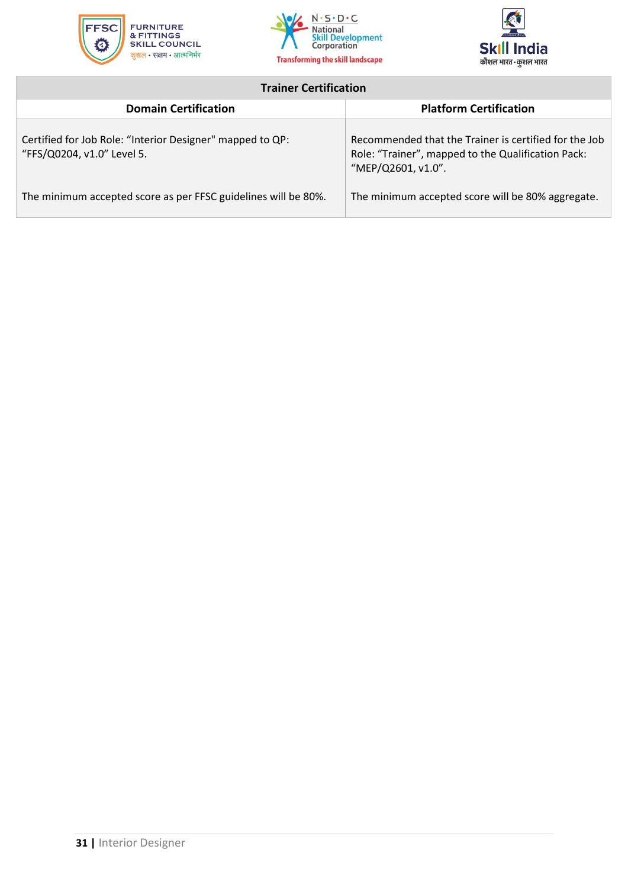





### **Trainer Certification**

<span id="page-31-0"></span>

| <b>Domain Certification</b>                                                             | <b>Platform Certification</b>                                                                                                     |
|-----------------------------------------------------------------------------------------|-----------------------------------------------------------------------------------------------------------------------------------|
| Certified for Job Role: "Interior Designer" mapped to QP:<br>"FFS/Q0204, v1.0" Level 5. | Recommended that the Trainer is certified for the Job<br>Role: "Trainer", mapped to the Qualification Pack:<br>"MEP/Q2601, v1.0". |
| The minimum accepted score as per FFSC guidelines will be 80%.                          | The minimum accepted score will be 80% aggregate.                                                                                 |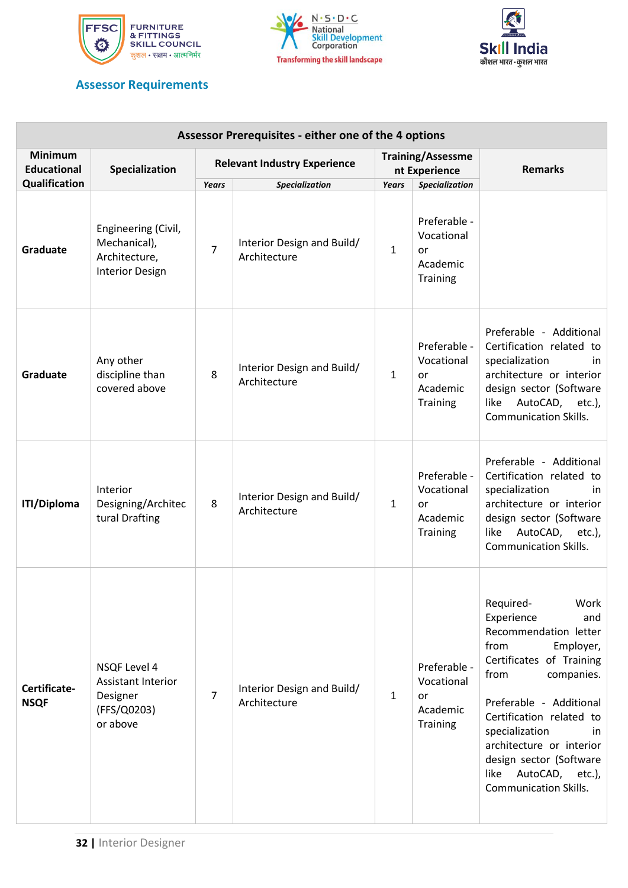





### **Assessor Requirements**

| Assessor Prerequisites - either one of the 4 options |                                                                                         |                                     |                                            |                                           |                                                                 |                                                                                                                                                                                                                                                                                                                                          |
|------------------------------------------------------|-----------------------------------------------------------------------------------------|-------------------------------------|--------------------------------------------|-------------------------------------------|-----------------------------------------------------------------|------------------------------------------------------------------------------------------------------------------------------------------------------------------------------------------------------------------------------------------------------------------------------------------------------------------------------------------|
| <b>Minimum</b><br><b>Educational</b>                 | Specialization                                                                          | <b>Relevant Industry Experience</b> |                                            | <b>Training/Assessme</b><br>nt Experience |                                                                 | <b>Remarks</b>                                                                                                                                                                                                                                                                                                                           |
| Qualification                                        |                                                                                         | Years                               | Specialization                             | <b>Years</b>                              | <b>Specialization</b>                                           |                                                                                                                                                                                                                                                                                                                                          |
| Graduate                                             | Engineering (Civil,<br>Mechanical),<br>Architecture,<br><b>Interior Design</b>          | $\overline{7}$                      | Interior Design and Build/<br>Architecture | $\mathbf{1}$                              | Preferable -<br>Vocational<br>or<br>Academic<br>Training        |                                                                                                                                                                                                                                                                                                                                          |
| Graduate                                             | Any other<br>discipline than<br>covered above                                           | 8                                   | Interior Design and Build/<br>Architecture | $\mathbf{1}$                              | Preferable -<br>Vocational<br>or<br>Academic<br><b>Training</b> | Preferable - Additional<br>Certification related to<br>specialization<br>in<br>architecture or interior<br>design sector (Software<br>AutoCAD, etc.),<br>like<br><b>Communication Skills.</b>                                                                                                                                            |
| <b>ITI/Diploma</b>                                   | Interior<br>Designing/Architec<br>tural Drafting                                        | 8                                   | Interior Design and Build/<br>Architecture | $\mathbf{1}$                              | Preferable -<br>Vocational<br>or<br>Academic<br>Training        | Preferable - Additional<br>Certification related to<br>specialization<br>in.<br>architecture or interior<br>design sector (Software<br>AutoCAD, etc.),<br>like<br><b>Communication Skills.</b>                                                                                                                                           |
| Certificate-<br><b>NSQF</b>                          | <b>NSQF Level 4</b><br><b>Assistant Interior</b><br>Designer<br>(FFS/Q0203)<br>or above | $\overline{7}$                      | Interior Design and Build/<br>Architecture | $\mathbf{1}$                              | Preferable -<br>Vocational<br>or<br>Academic<br><b>Training</b> | Required-<br>Work<br>Experience<br>and<br>Recommendation letter<br>from<br>Employer,<br>Certificates of Training<br>from<br>companies.<br>Preferable - Additional<br>Certification related to<br>specialization<br>in.<br>architecture or interior<br>design sector (Software<br>AutoCAD, etc.),<br>like<br><b>Communication Skills.</b> |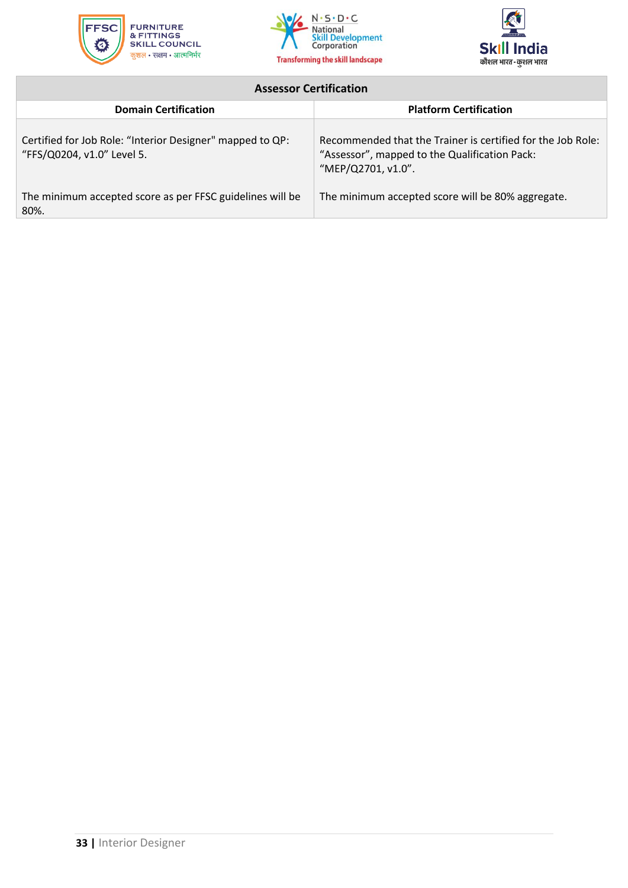





### **Assessor Certification**

<span id="page-33-0"></span>

| <b>Domain Certification</b>                                                             | <b>Platform Certification</b>                                                                                                      |
|-----------------------------------------------------------------------------------------|------------------------------------------------------------------------------------------------------------------------------------|
| Certified for Job Role: "Interior Designer" mapped to QP:<br>"FFS/Q0204, v1.0" Level 5. | Recommended that the Trainer is certified for the Job Role:<br>"Assessor", mapped to the Qualification Pack:<br>"MEP/Q2701, v1.0". |
| The minimum accepted score as per FFSC guidelines will be<br>80%.                       | The minimum accepted score will be 80% aggregate.                                                                                  |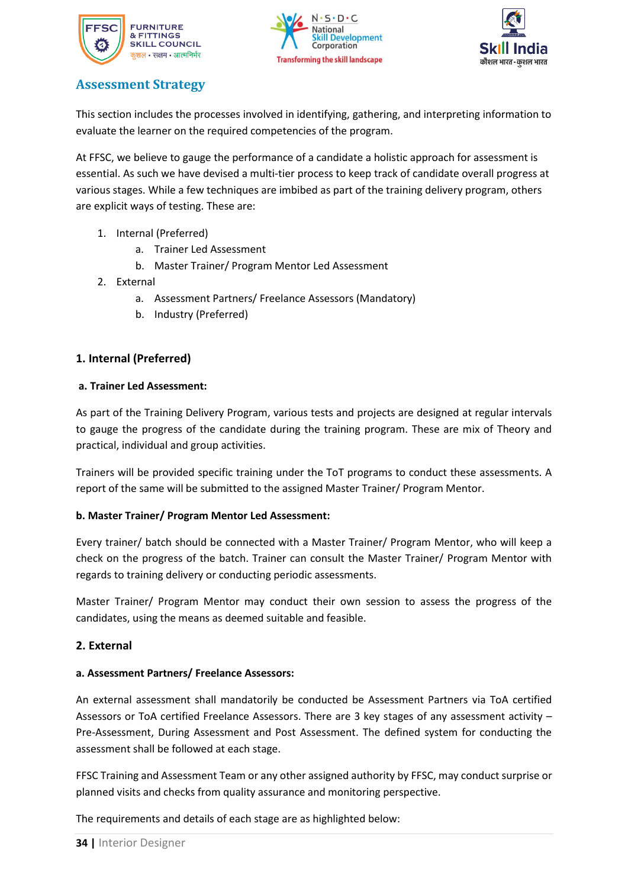





### <span id="page-34-0"></span>**Assessment Strategy**

This section includes the processes involved in identifying, gathering, and interpreting information to evaluate the learner on the required competencies of the program.

At FFSC, we believe to gauge the performance of a candidate a holistic approach for assessment is essential. As such we have devised a multi-tier process to keep track of candidate overall progress at various stages. While a few techniques are imbibed as part of the training delivery program, others are explicit ways of testing. These are:

- 1. Internal (Preferred)
	- a. Trainer Led Assessment
	- b. Master Trainer/ Program Mentor Led Assessment
- 2. External
	- a. Assessment Partners/ Freelance Assessors (Mandatory)
	- b. Industry (Preferred)

### **1. Internal (Preferred)**

#### **a. Trainer Led Assessment:**

As part of the Training Delivery Program, various tests and projects are designed at regular intervals to gauge the progress of the candidate during the training program. These are mix of Theory and practical, individual and group activities.

Trainers will be provided specific training under the ToT programs to conduct these assessments. A report of the same will be submitted to the assigned Master Trainer/ Program Mentor.

### **b. Master Trainer/ Program Mentor Led Assessment:**

Every trainer/ batch should be connected with a Master Trainer/ Program Mentor, who will keep a check on the progress of the batch. Trainer can consult the Master Trainer/ Program Mentor with regards to training delivery or conducting periodic assessments.

Master Trainer/ Program Mentor may conduct their own session to assess the progress of the candidates, using the means as deemed suitable and feasible.

### **2. External**

### **a. Assessment Partners/ Freelance Assessors:**

An external assessment shall mandatorily be conducted be Assessment Partners via ToA certified Assessors or ToA certified Freelance Assessors. There are 3 key stages of any assessment activity – Pre-Assessment, During Assessment and Post Assessment. The defined system for conducting the assessment shall be followed at each stage.

FFSC Training and Assessment Team or any other assigned authority by FFSC, may conduct surprise or planned visits and checks from quality assurance and monitoring perspective.

The requirements and details of each stage are as highlighted below: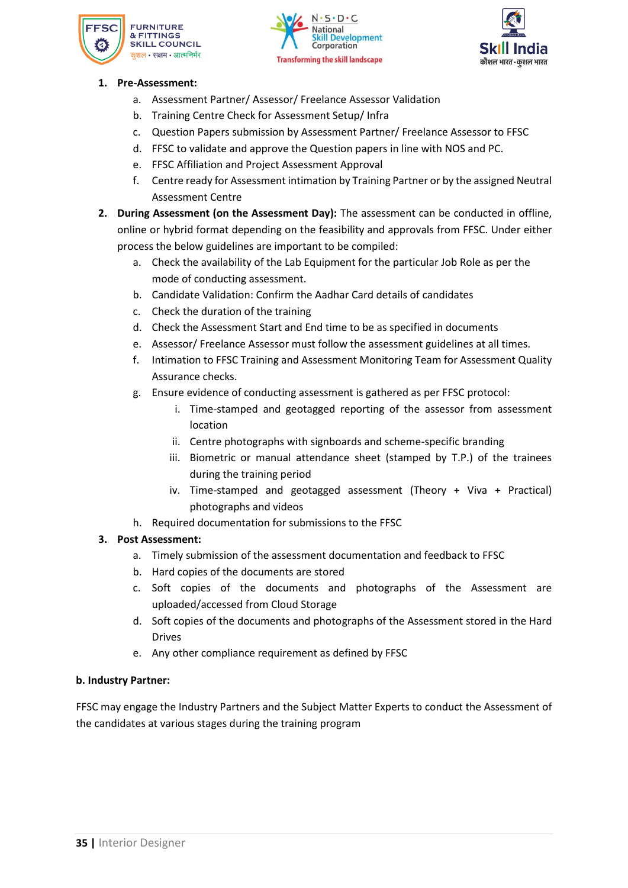





### **1. Pre-Assessment:**

- a. Assessment Partner/ Assessor/ Freelance Assessor Validation
- b. Training Centre Check for Assessment Setup/ Infra
- c. Question Papers submission by Assessment Partner/ Freelance Assessor to FFSC
- d. FFSC to validate and approve the Question papers in line with NOS and PC.
- e. FFSC Affiliation and Project Assessment Approval
- f. Centre ready for Assessment intimation by Training Partner or by the assigned Neutral Assessment Centre
- **2. During Assessment (on the Assessment Day):** The assessment can be conducted in offline, online or hybrid format depending on the feasibility and approvals from FFSC. Under either process the below guidelines are important to be compiled:
	- a. Check the availability of the Lab Equipment for the particular Job Role as per the mode of conducting assessment.
	- b. Candidate Validation: Confirm the Aadhar Card details of candidates
	- c. Check the duration of the training
	- d. Check the Assessment Start and End time to be as specified in documents
	- e. Assessor/ Freelance Assessor must follow the assessment guidelines at all times.
	- f. Intimation to FFSC Training and Assessment Monitoring Team for Assessment Quality Assurance checks.
	- g. Ensure evidence of conducting assessment is gathered as per FFSC protocol:
		- i. Time-stamped and geotagged reporting of the assessor from assessment location
		- ii. Centre photographs with signboards and scheme-specific branding
		- iii. Biometric or manual attendance sheet (stamped by T.P.) of the trainees during the training period
		- iv. Time-stamped and geotagged assessment (Theory + Viva + Practical) photographs and videos
	- h. Required documentation for submissions to the FFSC

### **3. Post Assessment:**

- a. Timely submission of the assessment documentation and feedback to FFSC
- b. Hard copies of the documents are stored
- c. Soft copies of the documents and photographs of the Assessment are uploaded/accessed from Cloud Storage
- d. Soft copies of the documents and photographs of the Assessment stored in the Hard Drives
- e. Any other compliance requirement as defined by FFSC

### **b. Industry Partner:**

FFSC may engage the Industry Partners and the Subject Matter Experts to conduct the Assessment of the candidates at various stages during the training program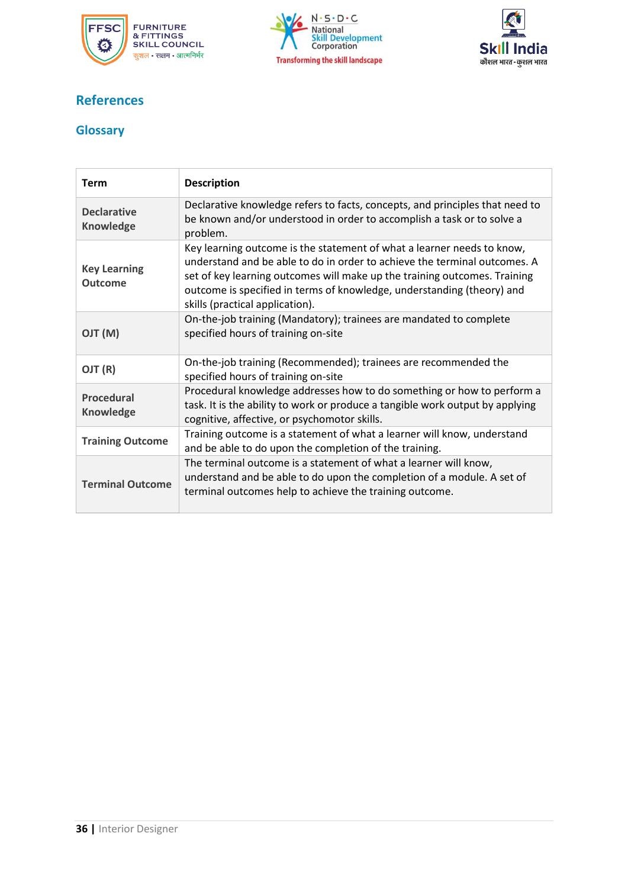





### **References**

### <span id="page-36-0"></span>**Glossary**

| <b>Term</b>                            | <b>Description</b>                                                                                                                                                                                                                                                                                                                            |
|----------------------------------------|-----------------------------------------------------------------------------------------------------------------------------------------------------------------------------------------------------------------------------------------------------------------------------------------------------------------------------------------------|
| <b>Declarative</b><br><b>Knowledge</b> | Declarative knowledge refers to facts, concepts, and principles that need to<br>be known and/or understood in order to accomplish a task or to solve a<br>problem.                                                                                                                                                                            |
| <b>Key Learning</b><br><b>Outcome</b>  | Key learning outcome is the statement of what a learner needs to know,<br>understand and be able to do in order to achieve the terminal outcomes. A<br>set of key learning outcomes will make up the training outcomes. Training<br>outcome is specified in terms of knowledge, understanding (theory) and<br>skills (practical application). |
| (M) TLO                                | On-the-job training (Mandatory); trainees are mandated to complete<br>specified hours of training on-site                                                                                                                                                                                                                                     |
| OJT (R)                                | On-the-job training (Recommended); trainees are recommended the<br>specified hours of training on-site                                                                                                                                                                                                                                        |
| Procedural<br><b>Knowledge</b>         | Procedural knowledge addresses how to do something or how to perform a<br>task. It is the ability to work or produce a tangible work output by applying<br>cognitive, affective, or psychomotor skills.                                                                                                                                       |
| <b>Training Outcome</b>                | Training outcome is a statement of what a learner will know, understand<br>and be able to do upon the completion of the training.                                                                                                                                                                                                             |
| <b>Terminal Outcome</b>                | The terminal outcome is a statement of what a learner will know,<br>understand and be able to do upon the completion of a module. A set of<br>terminal outcomes help to achieve the training outcome.                                                                                                                                         |